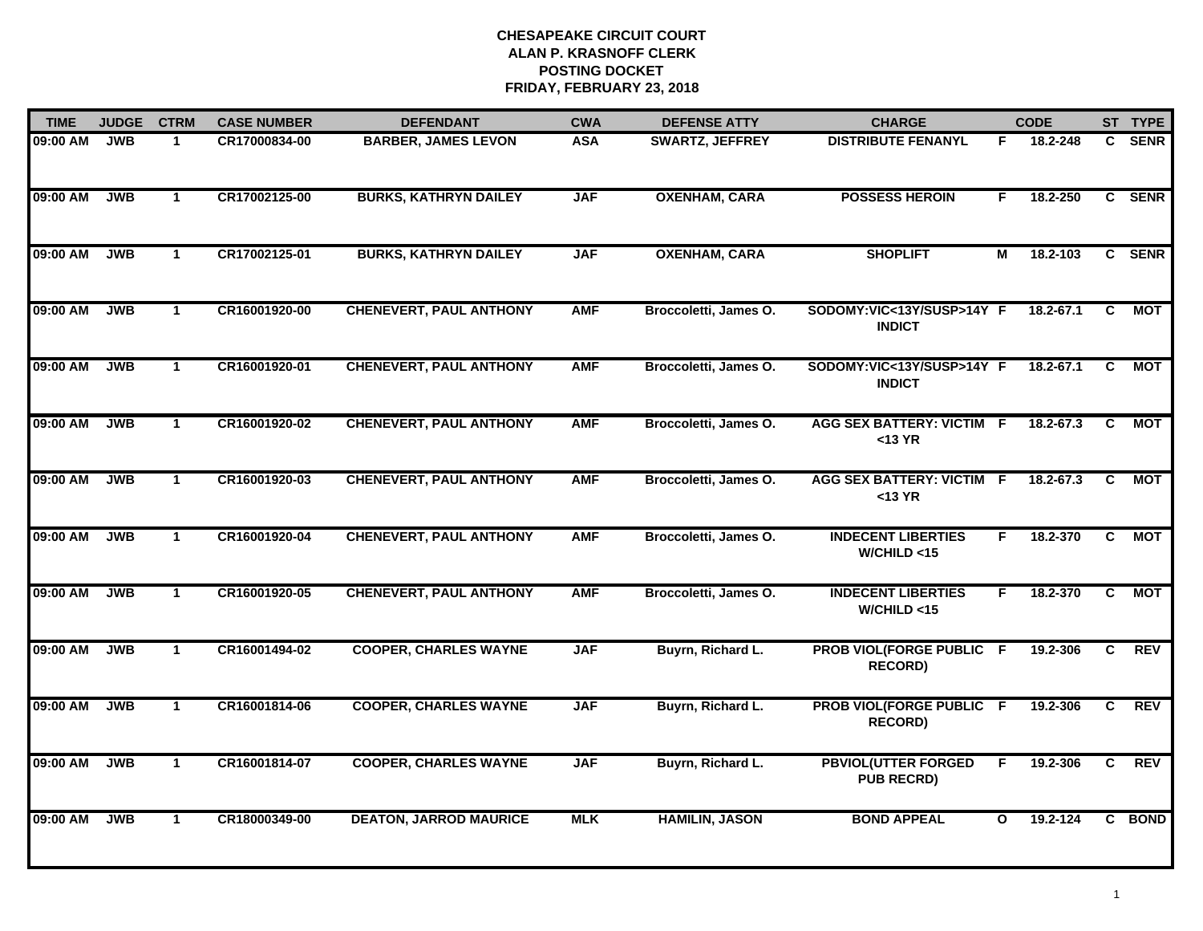| <b>TIME</b> | <b>JUDGE</b> | <b>CTRM</b>          | <b>CASE NUMBER</b> | <b>DEFENDANT</b>               | <b>CWA</b> | <b>DEFENSE ATTY</b>    | <b>CHARGE</b>                                   |              | <b>CODE</b> |                | ST TYPE     |
|-------------|--------------|----------------------|--------------------|--------------------------------|------------|------------------------|-------------------------------------------------|--------------|-------------|----------------|-------------|
| 09:00 AM    | <b>JWB</b>   | $\mathbf{1}$         | CR17000834-00      | <b>BARBER, JAMES LEVON</b>     | <b>ASA</b> | <b>SWARTZ, JEFFREY</b> | <b>DISTRIBUTE FENANYL</b>                       | F            | 18.2-248    | C.             | <b>SENR</b> |
| 09:00 AM    | <b>JWB</b>   | $\mathbf{1}$         | CR17002125-00      | <b>BURKS, KATHRYN DAILEY</b>   | <b>JAF</b> | <b>OXENHAM, CARA</b>   | <b>POSSESS HEROIN</b>                           | F            | 18.2-250    |                | C SENR      |
| 09:00 AM    | <b>JWB</b>   | $\mathbf{1}$         | CR17002125-01      | <b>BURKS, KATHRYN DAILEY</b>   | <b>JAF</b> | <b>OXENHAM, CARA</b>   | <b>SHOPLIFT</b>                                 | М            | 18.2-103    |                | C SENR      |
| 09:00 AM    | <b>JWB</b>   | $\mathbf 1$          | CR16001920-00      | <b>CHENEVERT, PAUL ANTHONY</b> | <b>AMF</b> | Broccoletti, James O.  | SODOMY:VIC<13Y/SUSP>14Y F<br><b>INDICT</b>      |              | 18.2-67.1   | C.             | <b>MOT</b>  |
| 09:00 AM    | <b>JWB</b>   | $\mathbf{1}$         | CR16001920-01      | <b>CHENEVERT, PAUL ANTHONY</b> | <b>AMF</b> | Broccoletti, James O.  | SODOMY:VIC<13Y/SUSP>14Y F<br><b>INDICT</b>      |              | 18.2-67.1   | C              | <b>MOT</b>  |
| 09:00 AM    | <b>JWB</b>   | $\mathbf{1}$         | CR16001920-02      | <b>CHENEVERT, PAUL ANTHONY</b> | <b>AMF</b> | Broccoletti, James O.  | AGG SEX BATTERY: VICTIM F<br>$<$ 13 YR          |              | 18.2-67.3   | C              | <b>MOT</b>  |
| 09:00 AM    | <b>JWB</b>   | $\mathbf{1}$         | CR16001920-03      | <b>CHENEVERT, PAUL ANTHONY</b> | <b>AMF</b> | Broccoletti, James O.  | <b>AGG SEX BATTERY: VICTIM F</b><br>$<$ 13 YR   |              | 18.2-67.3   | C              | МОТ         |
| 09:00 AM    | <b>JWB</b>   | $\overline{1}$       | CR16001920-04      | <b>CHENEVERT, PAUL ANTHONY</b> | <b>AMF</b> | Broccoletti, James O.  | <b>INDECENT LIBERTIES</b><br>W/CHILD < 15       | F.           | 18.2-370    | $\overline{c}$ | <b>MOT</b>  |
| 09:00 AM    | <b>JWB</b>   | $\mathbf{1}$         | CR16001920-05      | <b>CHENEVERT, PAUL ANTHONY</b> | <b>AMF</b> | Broccoletti, James O.  | <b>INDECENT LIBERTIES</b><br>W/CHILD < 15       | F.           | 18.2-370    | C.             | <b>MOT</b>  |
| 09:00 AM    | <b>JWB</b>   | $\blacktriangleleft$ | CR16001494-02      | <b>COOPER, CHARLES WAYNE</b>   | <b>JAF</b> | Buyrn, Richard L.      | PROB VIOL(FORGE PUBLIC F<br><b>RECORD)</b>      |              | 19.2-306    | C              | <b>REV</b>  |
| 09:00 AM    | <b>JWB</b>   | $\mathbf{1}$         | CR16001814-06      | <b>COOPER, CHARLES WAYNE</b>   | <b>JAF</b> | Buyrn, Richard L.      | PROB VIOL(FORGE PUBLIC F<br><b>RECORD)</b>      |              | 19.2-306    | C.             | <b>REV</b>  |
| 09:00 AM    | <b>JWB</b>   | $\mathbf{1}$         | CR16001814-07      | <b>COOPER, CHARLES WAYNE</b>   | <b>JAF</b> | Buyrn, Richard L.      | <b>PBVIOL(UTTER FORGED</b><br><b>PUB RECRD)</b> | F            | 19.2-306    | C              | <b>REV</b>  |
| 09:00 AM    | <b>JWB</b>   | $\mathbf{1}$         | CR18000349-00      | <b>DEATON, JARROD MAURICE</b>  | <b>MLK</b> | <b>HAMILIN, JASON</b>  | <b>BOND APPEAL</b>                              | $\mathbf{o}$ | 19.2-124    |                | C BOND      |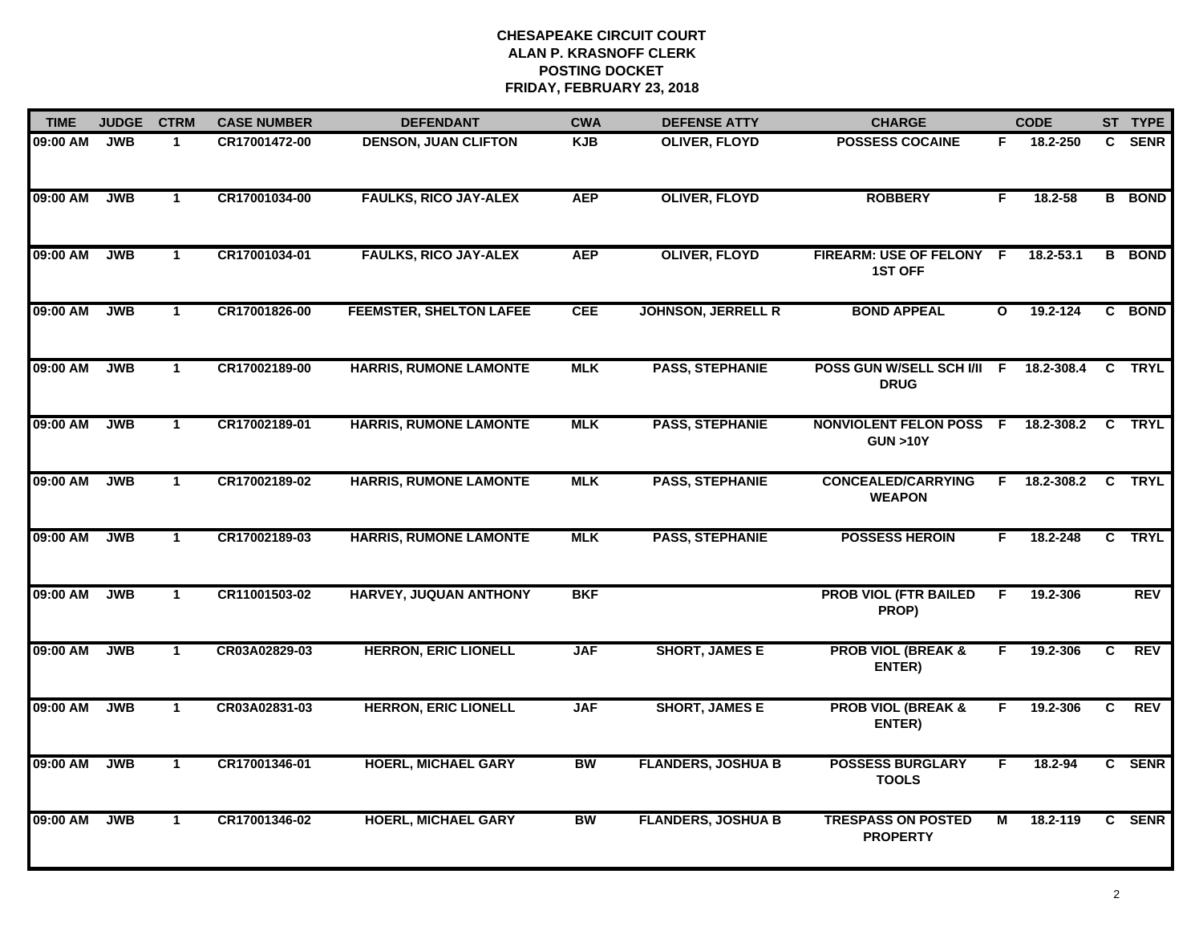| <b>TIME</b> | <b>JUDGE</b> | <b>CTRM</b>          | <b>CASE NUMBER</b> | <b>DEFENDANT</b>               | <b>CWA</b> | <b>DEFENSE ATTY</b>       | <b>CHARGE</b>                                        |                | <b>CODE</b>   |              | ST TYPE       |
|-------------|--------------|----------------------|--------------------|--------------------------------|------------|---------------------------|------------------------------------------------------|----------------|---------------|--------------|---------------|
| 09:00 AM    | <b>JWB</b>   | $\mathbf{1}$         | CR17001472-00      | <b>DENSON, JUAN CLIFTON</b>    | <b>KJB</b> | <b>OLIVER, FLOYD</b>      | <b>POSSESS COCAINE</b>                               | F.             | 18.2-250      |              | C SENR        |
| 09:00 AM    | <b>JWB</b>   | $\mathbf{1}$         | CR17001034-00      | <b>FAULKS, RICO JAY-ALEX</b>   | <b>AEP</b> | <b>OLIVER, FLOYD</b>      | <b>ROBBERY</b>                                       | F.             | $18.2 - 58$   |              | <b>B</b> BOND |
| 09:00 AM    | <b>JWB</b>   | $\mathbf{1}$         | CR17001034-01      | <b>FAULKS, RICO JAY-ALEX</b>   | <b>AEP</b> | <b>OLIVER, FLOYD</b>      | <b>FIREARM: USE OF FELONY</b><br><b>1ST OFF</b>      | $\overline{F}$ | $18.2 - 53.1$ |              | <b>B</b> BOND |
| 09:00 AM    | <b>JWB</b>   | $\mathbf 1$          | CR17001826-00      | <b>FEEMSTER, SHELTON LAFEE</b> | <b>CEE</b> | <b>JOHNSON, JERRELL R</b> | <b>BOND APPEAL</b>                                   | $\mathbf{o}$   | 19.2-124      |              | C BOND        |
| 09:00 AM    | <b>JWB</b>   | $\mathbf{1}$         | CR17002189-00      | <b>HARRIS, RUMONE LAMONTE</b>  | <b>MLK</b> | <b>PASS, STEPHANIE</b>    | POSS GUN W/SELL SCH I/II F 18.2-308.4<br><b>DRUG</b> |                |               |              | C TRYL        |
| 09:00 AM    | <b>JWB</b>   | $\mathbf{1}$         | CR17002189-01      | <b>HARRIS, RUMONE LAMONTE</b>  | <b>MLK</b> | <b>PASS, STEPHANIE</b>    | <b>NONVIOLENT FELON POSS F</b><br><b>GUN &gt;10Y</b> |                | 18.2-308.2    | $\mathbf{c}$ | <b>TRYL</b>   |
| 09:00 AM    | <b>JWB</b>   | $\mathbf{1}$         | CR17002189-02      | <b>HARRIS, RUMONE LAMONTE</b>  | <b>MLK</b> | <b>PASS, STEPHANIE</b>    | <b>CONCEALED/CARRYING</b><br><b>WEAPON</b>           | F.             | 18.2-308.2    | $\mathbf{C}$ | <b>TRYL</b>   |
| 09:00 AM    | <b>JWB</b>   | $\mathbf{1}$         | CR17002189-03      | <b>HARRIS, RUMONE LAMONTE</b>  | <b>MLK</b> | <b>PASS, STEPHANIE</b>    | <b>POSSESS HEROIN</b>                                | F              | 18.2-248      |              | C TRYL        |
| 09:00 AM    | <b>JWB</b>   | $\mathbf{1}$         | CR11001503-02      | <b>HARVEY, JUQUAN ANTHONY</b>  | <b>BKF</b> |                           | <b>PROB VIOL (FTR BAILED</b><br>PROP)                | F.             | 19.2-306      |              | <b>REV</b>    |
| 09:00 AM    | <b>JWB</b>   | $\blacktriangleleft$ | CR03A02829-03      | <b>HERRON, ERIC LIONELL</b>    | <b>JAF</b> | <b>SHORT, JAMES E</b>     | <b>PROB VIOL (BREAK &amp;</b><br>ENTER)              | F.             | 19.2-306      | C            | <b>REV</b>    |
| 09:00 AM    | <b>JWB</b>   | $\mathbf 1$          | CR03A02831-03      | <b>HERRON, ERIC LIONELL</b>    | <b>JAF</b> | <b>SHORT, JAMES E</b>     | <b>PROB VIOL (BREAK &amp;</b><br>ENTER)              | F.             | 19.2-306      | C.           | <b>REV</b>    |
| 09:00 AM    | <b>JWB</b>   | $\mathbf{1}$         | CR17001346-01      | <b>HOERL, MICHAEL GARY</b>     | <b>BW</b>  | <b>FLANDERS, JOSHUA B</b> | <b>POSSESS BURGLARY</b><br><b>TOOLS</b>              | F.             | 18.2-94       |              | C SENR        |
| 09:00 AM    | <b>JWB</b>   | $\mathbf{1}$         | CR17001346-02      | <b>HOERL, MICHAEL GARY</b>     | <b>BW</b>  | <b>FLANDERS, JOSHUA B</b> | <b>TRESPASS ON POSTED</b><br><b>PROPERTY</b>         | м              | 18.2-119      |              | C SENR        |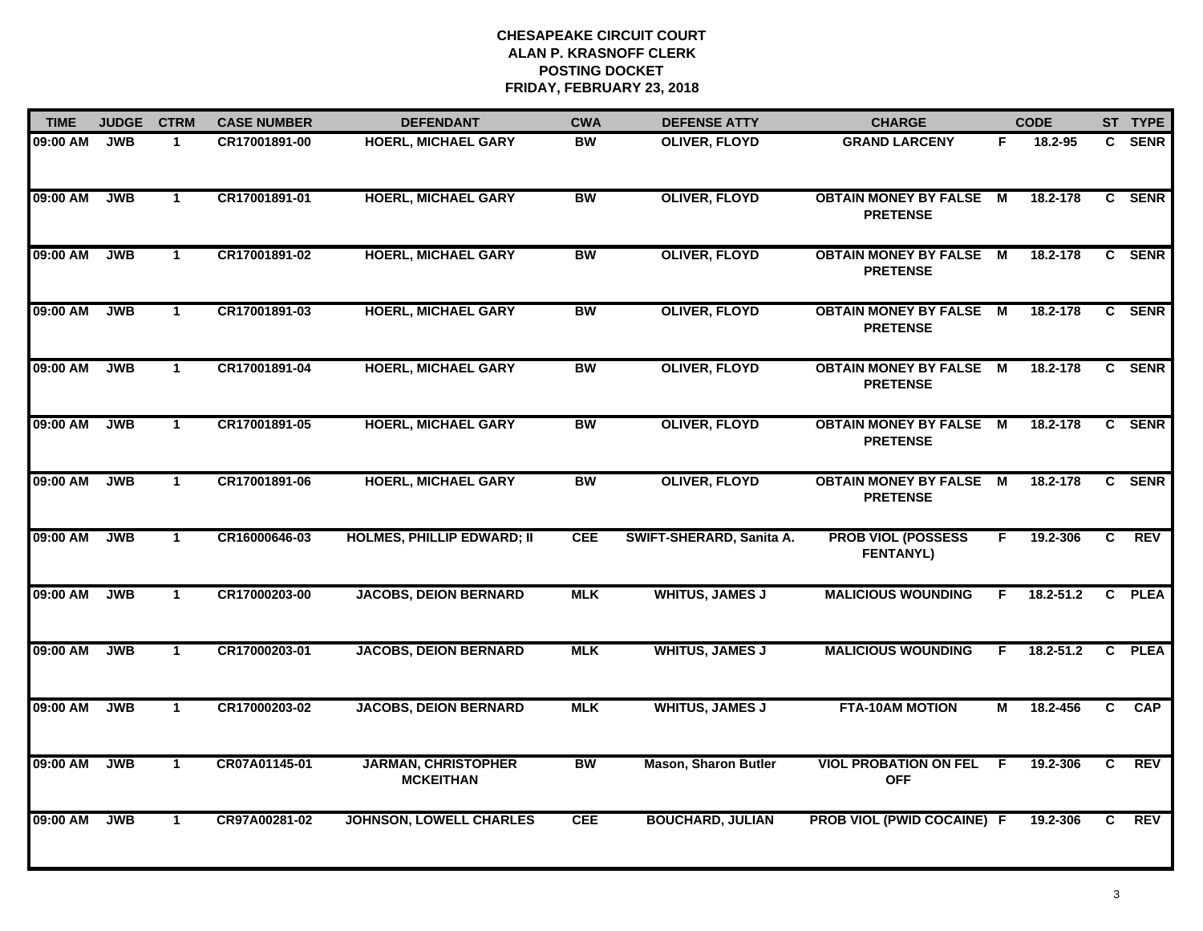| <b>TIME</b> | <b>JUDGE</b> | <b>CTRM</b>  | <b>CASE NUMBER</b> | <b>DEFENDANT</b>                               | <b>CWA</b> | <b>DEFENSE ATTY</b>         | <b>CHARGE</b>                                     |     | <b>CODE</b>   |                | ST TYPE    |
|-------------|--------------|--------------|--------------------|------------------------------------------------|------------|-----------------------------|---------------------------------------------------|-----|---------------|----------------|------------|
| 09:00 AM    | <b>JWB</b>   | $\mathbf{1}$ | CR17001891-00      | <b>HOERL, MICHAEL GARY</b>                     | <b>BW</b>  | <b>OLIVER, FLOYD</b>        | <b>GRAND LARCENY</b>                              | F.  | 18.2-95       |                | C SENR     |
| 09:00 AM    | <b>JWB</b>   | $\mathbf{1}$ | CR17001891-01      | <b>HOERL, MICHAEL GARY</b>                     | <b>BW</b>  | <b>OLIVER, FLOYD</b>        | <b>OBTAIN MONEY BY FALSE M</b><br><b>PRETENSE</b> |     | 18.2-178      |                | C SENR     |
| 09:00 AM    | <b>JWB</b>   | $\mathbf{1}$ | CR17001891-02      | <b>HOERL, MICHAEL GARY</b>                     | <b>BW</b>  | <b>OLIVER, FLOYD</b>        | <b>OBTAIN MONEY BY FALSE</b><br><b>PRETENSE</b>   | M   | 18.2-178      |                | C SENR     |
| 09:00 AM    | <b>JWB</b>   | $\mathbf 1$  | CR17001891-03      | <b>HOERL, MICHAEL GARY</b>                     | <b>BW</b>  | <b>OLIVER, FLOYD</b>        | <b>OBTAIN MONEY BY FALSE M</b><br><b>PRETENSE</b> |     | 18.2-178      |                | C SENR     |
| 09:00 AM    | <b>JWB</b>   | $\mathbf{1}$ | CR17001891-04      | <b>HOERL, MICHAEL GARY</b>                     | <b>BW</b>  | <b>OLIVER, FLOYD</b>        | <b>OBTAIN MONEY BY FALSE M</b><br><b>PRETENSE</b> |     | 18.2-178      |                | C SENR     |
| 09:00 AM    | <b>JWB</b>   | $\mathbf{1}$ | CR17001891-05      | <b>HOERL, MICHAEL GARY</b>                     | <b>BW</b>  | <b>OLIVER, FLOYD</b>        | <b>OBTAIN MONEY BY FALSE M</b><br><b>PRETENSE</b> |     | 18.2-178      |                | C SENR     |
| 09:00 AM    | <b>JWB</b>   | $\mathbf{1}$ | CR17001891-06      | <b>HOERL, MICHAEL GARY</b>                     | <b>BW</b>  | <b>OLIVER, FLOYD</b>        | <b>OBTAIN MONEY BY FALSE M</b><br><b>PRETENSE</b> |     | 18.2-178      |                | C SENR     |
| 09:00 AM    | <b>JWB</b>   | $\mathbf{1}$ | CR16000646-03      | <b>HOLMES, PHILLIP EDWARD; II</b>              | <b>CEE</b> | SWIFT-SHERARD, Sanita A.    | <b>PROB VIOL (POSSESS</b><br><b>FENTANYL)</b>     | F.  | 19.2-306      | $\overline{c}$ | <b>REV</b> |
| 09:00 AM    | <b>JWB</b>   | $\mathbf 1$  | CR17000203-00      | <b>JACOBS, DEION BERNARD</b>                   | <b>MLK</b> | <b>WHITUS, JAMES J</b>      | <b>MALICIOUS WOUNDING</b>                         | F.  | $18.2 - 51.2$ |                | C PLEA     |
| 09:00 AM    | <b>JWB</b>   | $\mathbf{1}$ | CR17000203-01      | <b>JACOBS, DEION BERNARD</b>                   | <b>MLK</b> | <b>WHITUS, JAMES J</b>      | <b>MALICIOUS WOUNDING</b>                         | F.  | $18.2 - 51.2$ |                | C PLEA     |
| 09:00 AM    | <b>JWB</b>   | $\mathbf{1}$ | CR17000203-02      | <b>JACOBS, DEION BERNARD</b>                   | <b>MLK</b> | <b>WHITUS, JAMES J</b>      | <b>FTA-10AM MOTION</b>                            | М   | 18.2-456      | $\mathbf{c}$   | CAP        |
| 09:00 AM    | <b>JWB</b>   | $\mathbf 1$  | CR07A01145-01      | <b>JARMAN, CHRISTOPHER</b><br><b>MCKEITHAN</b> | <b>BW</b>  | <b>Mason, Sharon Butler</b> | <b>VIOL PROBATION ON FEL</b><br><b>OFF</b>        | - F | 19.2-306      | C              | REV        |
| 09:00 AM    | <b>JWB</b>   | $\mathbf{1}$ | CR97A00281-02      | <b>JOHNSON, LOWELL CHARLES</b>                 | <b>CEE</b> | <b>BOUCHARD, JULIAN</b>     | PROB VIOL (PWID COCAINE) F                        |     | 19.2-306      | $\overline{c}$ | <b>REV</b> |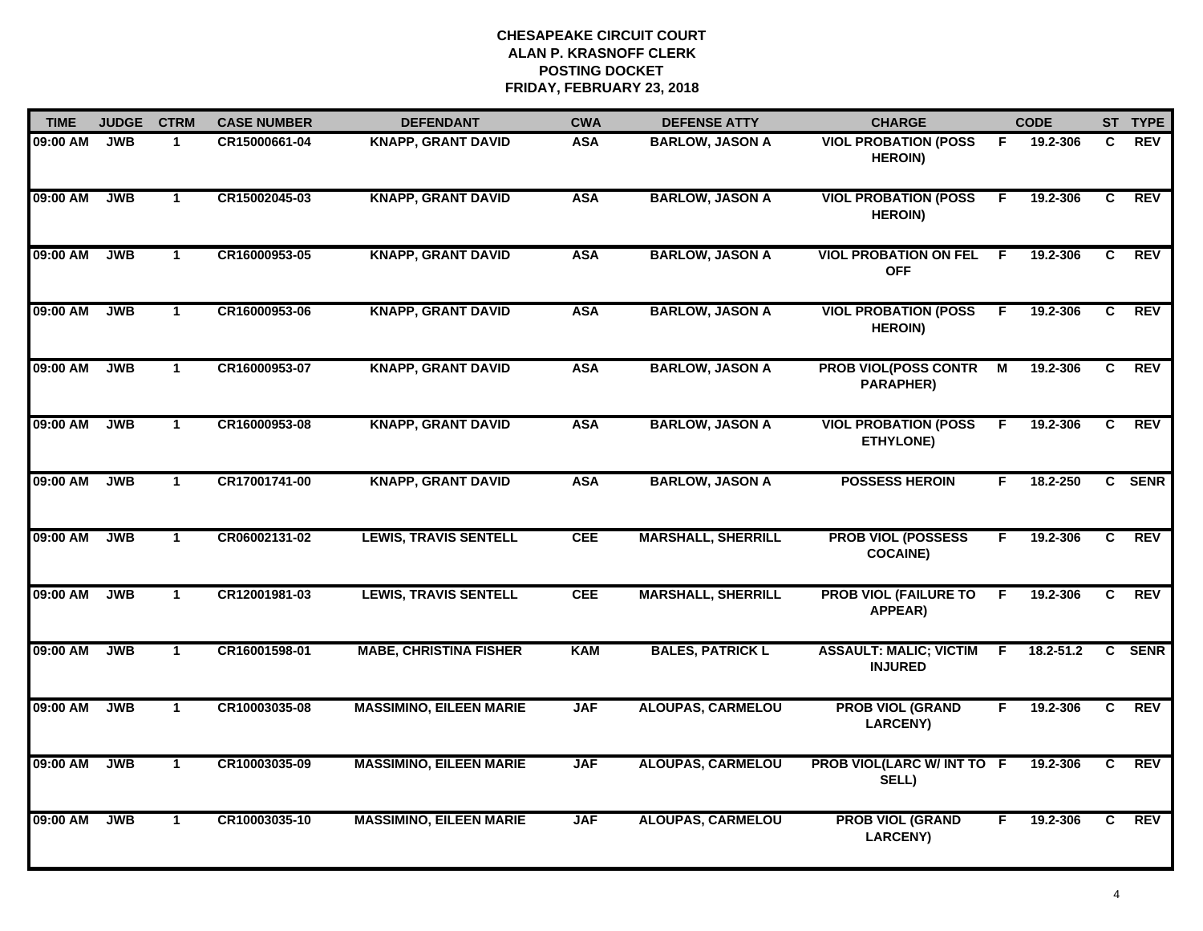| <b>TIME</b> | <b>JUDGE</b> | <b>CTRM</b>  | <b>CASE NUMBER</b> | <b>DEFENDANT</b>               | <b>CWA</b> | <b>DEFENSE ATTY</b>       | <b>CHARGE</b>                                   |    | <b>CODE</b>   |    | ST TYPE     |
|-------------|--------------|--------------|--------------------|--------------------------------|------------|---------------------------|-------------------------------------------------|----|---------------|----|-------------|
| 09:00 AM    | <b>JWB</b>   | $\mathbf{1}$ | CR15000661-04      | <b>KNAPP, GRANT DAVID</b>      | <b>ASA</b> | <b>BARLOW, JASON A</b>    | <b>VIOL PROBATION (POSS</b><br><b>HEROIN)</b>   | F. | 19.2-306      | C. | <b>REV</b>  |
| 09:00 AM    | <b>JWB</b>   | $\mathbf{1}$ | CR15002045-03      | <b>KNAPP, GRANT DAVID</b>      | <b>ASA</b> | <b>BARLOW, JASON A</b>    | <b>VIOL PROBATION (POSS</b><br><b>HEROIN)</b>   | -F | 19.2-306      | C  | <b>REV</b>  |
| 09:00 AM    | <b>JWB</b>   | $\mathbf{1}$ | CR16000953-05      | <b>KNAPP, GRANT DAVID</b>      | <b>ASA</b> | <b>BARLOW, JASON A</b>    | <b>VIOL PROBATION ON FEL</b><br><b>OFF</b>      | E  | 19.2-306      | C  | <b>REV</b>  |
| 09:00 AM    | <b>JWB</b>   | $\mathbf 1$  | CR16000953-06      | <b>KNAPP, GRANT DAVID</b>      | <b>ASA</b> | <b>BARLOW, JASON A</b>    | <b>VIOL PROBATION (POSS</b><br><b>HEROIN)</b>   | F  | 19.2-306      | C  | <b>REV</b>  |
| 09:00 AM    | <b>JWB</b>   | $\mathbf{1}$ | CR16000953-07      | <b>KNAPP, GRANT DAVID</b>      | <b>ASA</b> | <b>BARLOW, JASON A</b>    | <b>PROB VIOL(POSS CONTR</b><br><b>PARAPHER)</b> | М  | 19.2-306      | C  | <b>REV</b>  |
| 09:00 AM    | <b>JWB</b>   | $\mathbf{1}$ | CR16000953-08      | <b>KNAPP, GRANT DAVID</b>      | <b>ASA</b> | <b>BARLOW, JASON A</b>    | <b>VIOL PROBATION (POSS</b><br>ETHYLONE)        | F  | 19.2-306      | C. | REV         |
| 09:00 AM    | <b>JWB</b>   | $\mathbf{1}$ | CR17001741-00      | <b>KNAPP, GRANT DAVID</b>      | <b>ASA</b> | <b>BARLOW, JASON A</b>    | <b>POSSESS HEROIN</b>                           | F  | 18.2-250      | C  | <b>SENR</b> |
| 09:00 AM    | <b>JWB</b>   | $\mathbf{1}$ | CR06002131-02      | <b>LEWIS, TRAVIS SENTELL</b>   | <b>CEE</b> | <b>MARSHALL, SHERRILL</b> | <b>PROB VIOL (POSSESS</b><br><b>COCAINE)</b>    | F  | 19.2-306      | C  | <b>REV</b>  |
| 09:00 AM    | <b>JWB</b>   | $\mathbf{1}$ | CR12001981-03      | <b>LEWIS, TRAVIS SENTELL</b>   | <b>CEE</b> | <b>MARSHALL, SHERRILL</b> | <b>PROB VIOL (FAILURE TO</b><br>APPEAR)         | F  | 19.2-306      | C  | <b>REV</b>  |
| 09:00 AM    | <b>JWB</b>   | $\mathbf{1}$ | CR16001598-01      | <b>MABE, CHRISTINA FISHER</b>  | <b>KAM</b> | <b>BALES, PATRICK L</b>   | <b>ASSAULT: MALIC; VICTIM</b><br><b>INJURED</b> | F. | $18.2 - 51.2$ | C. | <b>SENR</b> |
| 09:00 AM    | <b>JWB</b>   | $\mathbf{1}$ | CR10003035-08      | <b>MASSIMINO, EILEEN MARIE</b> | <b>JAF</b> | <b>ALOUPAS, CARMELOU</b>  | <b>PROB VIOL (GRAND</b><br><b>LARCENY)</b>      | F. | 19.2-306      | C. | <b>REV</b>  |
| 09:00 AM    | <b>JWB</b>   | $\mathbf{1}$ | CR10003035-09      | <b>MASSIMINO, EILEEN MARIE</b> | <b>JAF</b> | <b>ALOUPAS, CARMELOU</b>  | PROB VIOL(LARC W/ INT TO F<br>SELL)             |    | 19.2-306      | C  | <b>REV</b>  |
| 09:00 AM    | <b>JWB</b>   | $\mathbf{1}$ | CR10003035-10      | <b>MASSIMINO, EILEEN MARIE</b> | <b>JAF</b> | <b>ALOUPAS, CARMELOU</b>  | <b>PROB VIOL (GRAND</b><br><b>LARCENY)</b>      | F  | 19.2-306      | C  | <b>REV</b>  |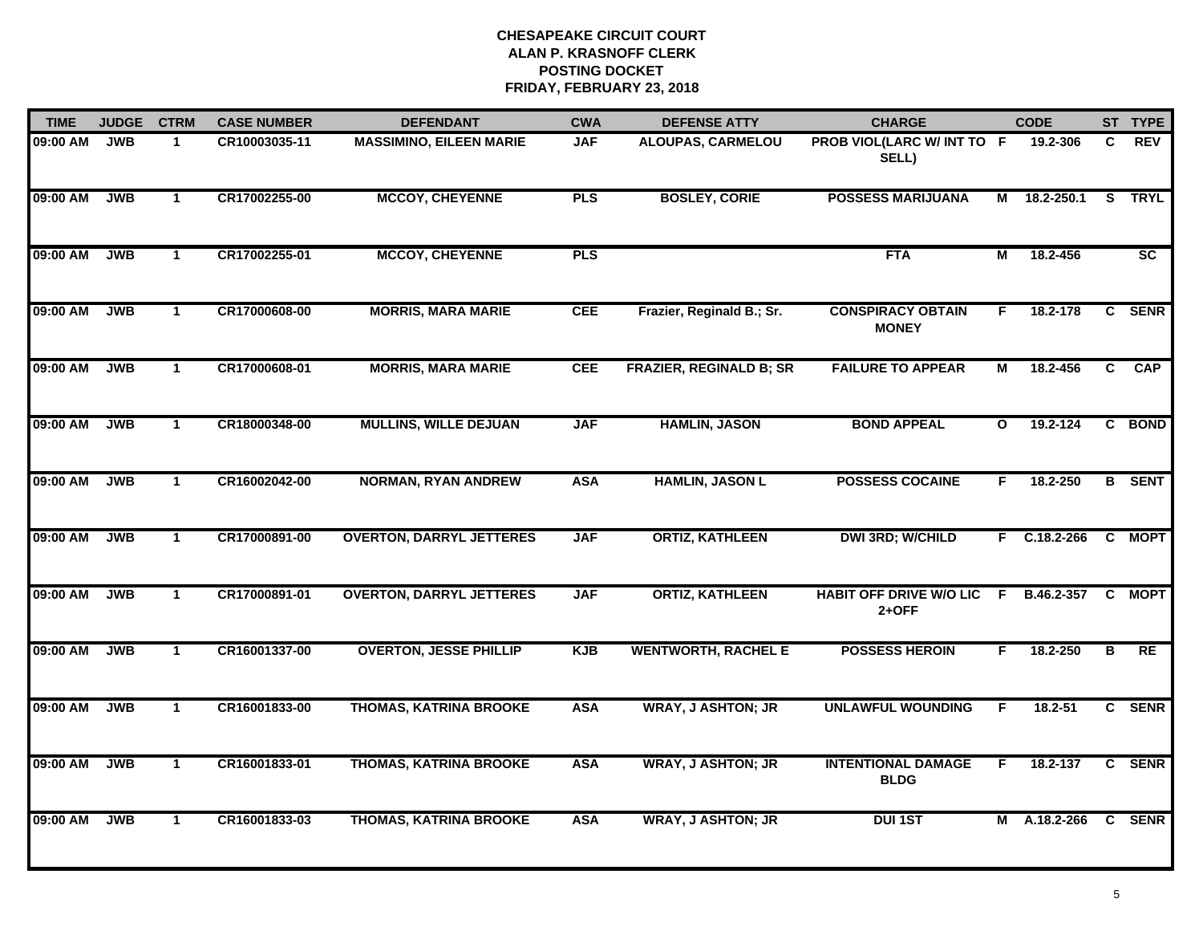| <b>TIME</b> | <b>JUDGE</b> | <b>CTRM</b>  | <b>CASE NUMBER</b> | <b>DEFENDANT</b>                | <b>CWA</b> | <b>DEFENSE ATTY</b>            | <b>CHARGE</b>                             |              | <b>CODE</b>    |    | ST TYPE         |
|-------------|--------------|--------------|--------------------|---------------------------------|------------|--------------------------------|-------------------------------------------|--------------|----------------|----|-----------------|
| 09:00 AM    | <b>JWB</b>   | $\mathbf{1}$ | CR10003035-11      | <b>MASSIMINO, EILEEN MARIE</b>  | <b>JAF</b> | ALOUPAS, CARMELOU              | PROB VIOL(LARC W/ INT TO F<br>SELL)       |              | 19.2-306       | C. | <b>REV</b>      |
| 09:00 AM    | <b>JWB</b>   | $\mathbf 1$  | CR17002255-00      | <b>MCCOY, CHEYENNE</b>          | <b>PLS</b> | <b>BOSLEY, CORIE</b>           | <b>POSSESS MARIJUANA</b>                  | м            | 18.2-250.1     | S. | <b>TRYL</b>     |
| 09:00 AM    | <b>JWB</b>   | $\mathbf{1}$ | CR17002255-01      | <b>MCCOY, CHEYENNE</b>          | <b>PLS</b> |                                | <b>FTA</b>                                | М            | 18.2-456       |    | $\overline{sc}$ |
| 09:00 AM    | <b>JWB</b>   | $\mathbf 1$  | CR17000608-00      | <b>MORRIS, MARA MARIE</b>       | <b>CEE</b> | Frazier, Reginald B.; Sr.      | <b>CONSPIRACY OBTAIN</b><br><b>MONEY</b>  | F.           | 18.2-178       |    | C SENR          |
| 09:00 AM    | <b>JWB</b>   | $\mathbf 1$  | CR17000608-01      | <b>MORRIS, MARA MARIE</b>       | <b>CEE</b> | <b>FRAZIER, REGINALD B; SR</b> | <b>FAILURE TO APPEAR</b>                  | М            | 18.2-456       |    | C CAP           |
| 09:00 AM    | <b>JWB</b>   | $\mathbf{1}$ | CR18000348-00      | <b>MULLINS, WILLE DEJUAN</b>    | <b>JAF</b> | <b>HAMLIN, JASON</b>           | <b>BOND APPEAL</b>                        | $\mathbf{o}$ | 19.2-124       |    | C BOND          |
| 09:00 AM    | <b>JWB</b>   | $\mathbf{1}$ | CR16002042-00      | <b>NORMAN, RYAN ANDREW</b>      | <b>ASA</b> | <b>HAMLIN, JASON L</b>         | <b>POSSESS COCAINE</b>                    | F.           | 18.2-250       |    | <b>B</b> SENT   |
| 09:00 AM    | <b>JWB</b>   | $\mathbf{1}$ | CR17000891-00      | <b>OVERTON, DARRYL JETTERES</b> | <b>JAF</b> | <b>ORTIZ, KATHLEEN</b>         | <b>DWI 3RD; W/CHILD</b>                   |              | $F$ C.18.2-266 |    | C MOPT          |
| 09:00 AM    | <b>JWB</b>   | $\mathbf 1$  | CR17000891-01      | <b>OVERTON, DARRYL JETTERES</b> | <b>JAF</b> | <b>ORTIZ, KATHLEEN</b>         | <b>HABIT OFF DRIVE W/O LIC</b><br>$2+OFF$ | F.           | B.46.2-357     | C. | <b>MOPT</b>     |
| 09:00 AM    | <b>JWB</b>   | $\mathbf{1}$ | CR16001337-00      | <b>OVERTON, JESSE PHILLIP</b>   | <b>KJB</b> | <b>WENTWORTH, RACHEL E</b>     | <b>POSSESS HEROIN</b>                     | F.           | 18.2-250       | B  | <b>RE</b>       |
| 09:00 AM    | <b>JWB</b>   | $\mathbf{1}$ | CR16001833-00      | <b>THOMAS, KATRINA BROOKE</b>   | <b>ASA</b> | <b>WRAY, J ASHTON; JR</b>      | <b>UNLAWFUL WOUNDING</b>                  | F.           | 18.2-51        |    | C SENR          |
| 09:00 AM    | <b>JWB</b>   | $\mathbf{1}$ | CR16001833-01      | <b>THOMAS, KATRINA BROOKE</b>   | <b>ASA</b> | <b>WRAY, J ASHTON; JR</b>      | <b>INTENTIONAL DAMAGE</b><br><b>BLDG</b>  | F.           | 18.2-137       |    | C SENR          |
| 09:00 AM    | <b>JWB</b>   | $\mathbf{1}$ | CR16001833-03      | <b>THOMAS, KATRINA BROOKE</b>   | <b>ASA</b> | <b>WRAY, J ASHTON; JR</b>      | <b>DUI 1ST</b>                            |              | M A.18.2-266   |    | C SENR          |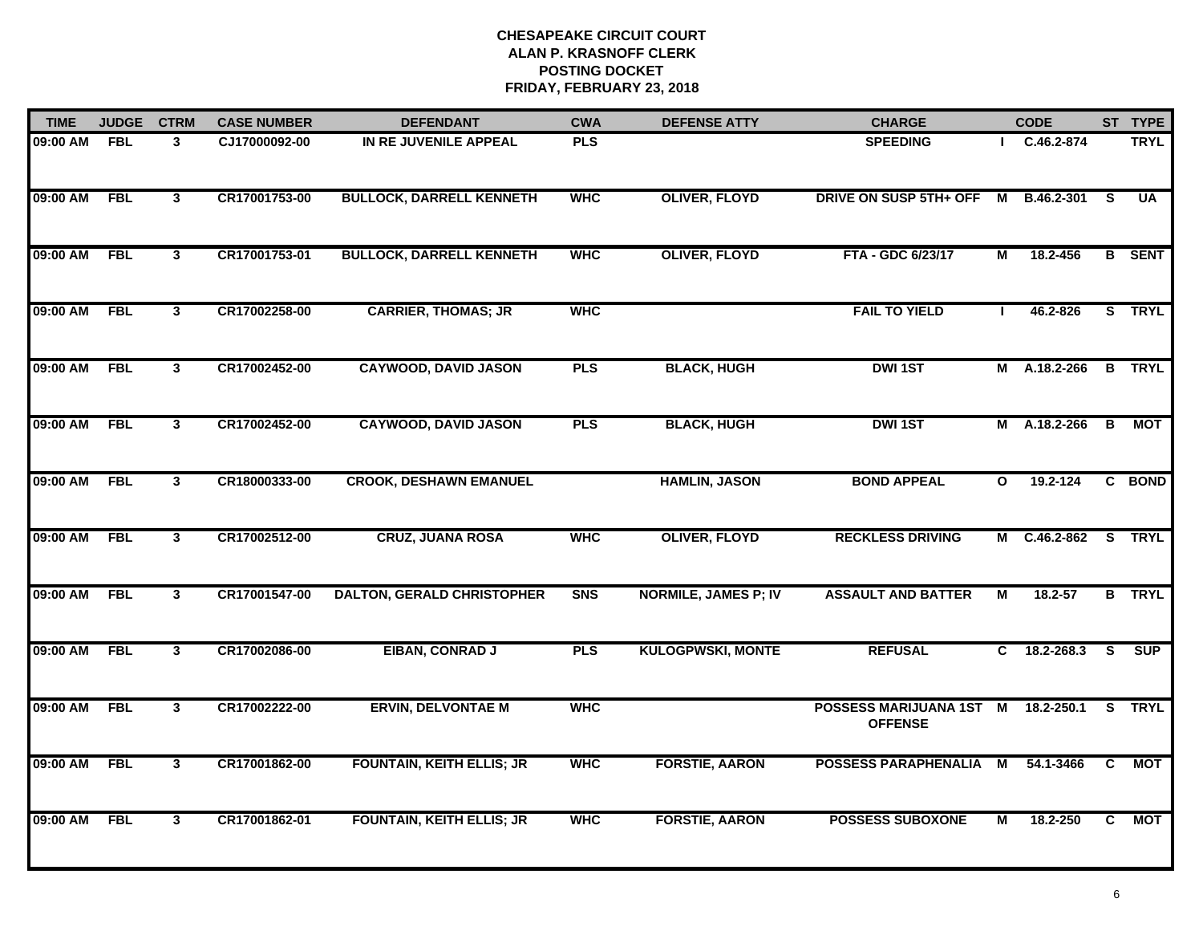| <b>TIME</b> | <b>JUDGE</b> | <b>CTRM</b>             | <b>CASE NUMBER</b> | <b>DEFENDANT</b>                  | <b>CWA</b> | <b>DEFENSE ATTY</b>         | <b>CHARGE</b>                                        |                | <b>CODE</b>         |                | ST TYPE       |
|-------------|--------------|-------------------------|--------------------|-----------------------------------|------------|-----------------------------|------------------------------------------------------|----------------|---------------------|----------------|---------------|
| 09:00 AM    | <b>FBL</b>   | 3                       | CJ17000092-00      | IN RE JUVENILE APPEAL             | <b>PLS</b> |                             | <b>SPEEDING</b>                                      |                | C.46.2-874          |                | <b>TRYL</b>   |
| 09:00 AM    | <b>FBL</b>   | $\overline{\mathbf{3}}$ | CR17001753-00      | <b>BULLOCK, DARRELL KENNETH</b>   | <b>WHC</b> | <b>OLIVER, FLOYD</b>        | DRIVE ON SUSP 5TH+ OFF                               | M              | B.46.2-301          | <b>S</b>       | <b>UA</b>     |
| 09:00 AM    | <b>FBL</b>   | $\mathbf{3}$            | CR17001753-01      | <b>BULLOCK, DARRELL KENNETH</b>   | <b>WHC</b> | <b>OLIVER, FLOYD</b>        | FTA - GDC 6/23/17                                    | М              | 18.2-456            |                | <b>B</b> SENT |
| 09:00 AM    | <b>FBL</b>   | $\mathbf{3}$            | CR17002258-00      | <b>CARRIER, THOMAS; JR</b>        | <b>WHC</b> |                             | <b>FAIL TO YIELD</b>                                 |                | 46.2-826            |                | S TRYL        |
| 09:00 AM    | <b>FBL</b>   | $\mathbf{3}$            | CR17002452-00      | <b>CAYWOOD, DAVID JASON</b>       | <b>PLS</b> | <b>BLACK, HUGH</b>          | <b>DWI1ST</b>                                        |                | M A.18.2-266        |                | <b>B</b> TRYL |
| 09:00 AM    | <b>FBL</b>   | $\mathbf{3}$            | CR17002452-00      | <b>CAYWOOD, DAVID JASON</b>       | <b>PLS</b> | <b>BLACK, HUGH</b>          | <b>DWI1ST</b>                                        | M              | A.18.2-266          | В              | МОТ           |
| 09:00 AM    | <b>FBL</b>   | 3                       | CR18000333-00      | <b>CROOK, DESHAWN EMANUEL</b>     |            | <b>HAMLIN, JASON</b>        | <b>BOND APPEAL</b>                                   | $\mathbf{o}$   | 19.2-124            |                | C BOND        |
| 09:00 AM    | <b>FBL</b>   | $\mathbf{3}$            | CR17002512-00      | <b>CRUZ, JUANA ROSA</b>           | <b>WHC</b> | <b>OLIVER, FLOYD</b>        | <b>RECKLESS DRIVING</b>                              |                | M C.46.2-862 S TRYL |                |               |
| 09:00 AM    | <b>FBL</b>   | 3                       | CR17001547-00      | <b>DALTON, GERALD CHRISTOPHER</b> | <b>SNS</b> | <b>NORMILE, JAMES P; IV</b> | <b>ASSAULT AND BATTER</b>                            | M              | 18.2-57             |                | <b>B</b> TRYL |
| 09:00 AM    | <b>FBL</b>   | $\mathbf{3}$            | CR17002086-00      | EIBAN, CONRAD J                   | <b>PLS</b> | <b>KULOGPWSKI, MONTE</b>    | <b>REFUSAL</b>                                       |                | $C$ 18.2-268.3      | S.             | <b>SUP</b>    |
| 09:00 AM    | <b>FBL</b>   | $\overline{\mathbf{3}}$ | CR17002222-00      | <b>ERVIN, DELVONTAE M</b>         | <b>WHC</b> |                             | POSSESS MARIJUANA 1ST M 18.2-250.1<br><b>OFFENSE</b> |                |                     |                | S TRYL        |
| 09:00 AM    | <b>FBL</b>   | 3                       | CR17001862-00      | <b>FOUNTAIN, KEITH ELLIS; JR</b>  | <b>WHC</b> | <b>FORSTIE, AARON</b>       | <b>POSSESS PARAPHENALIA</b>                          | $\overline{M}$ | 54.1-3466           | $\overline{c}$ | <b>MOT</b>    |
| 09:00 AM    | <b>FBL</b>   | $\mathbf{3}$            | CR17001862-01      | <b>FOUNTAIN, KEITH ELLIS; JR</b>  | <b>WHC</b> | <b>FORSTIE, AARON</b>       | <b>POSSESS SUBOXONE</b>                              | М              | 18.2-250            | C              | <b>MOT</b>    |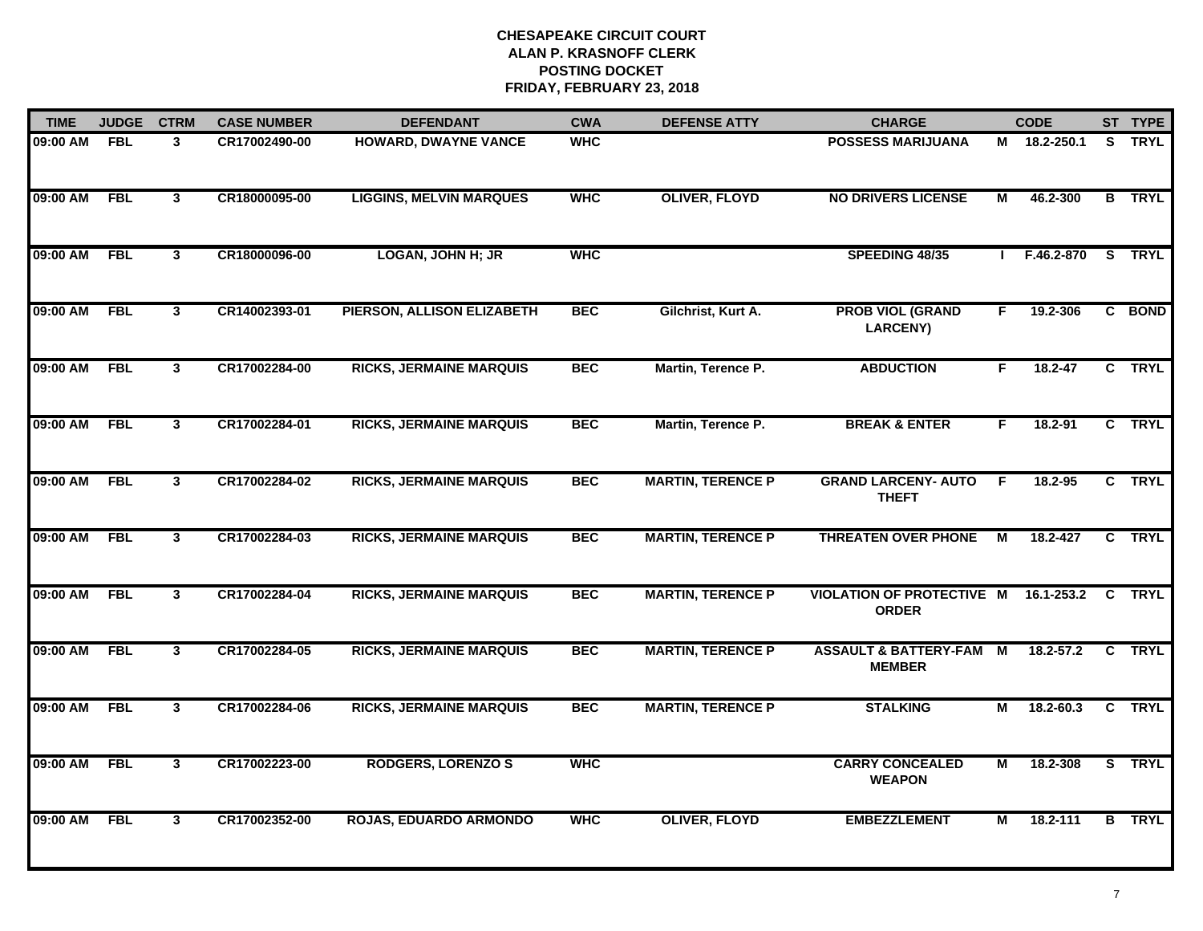| <b>TIME</b> | <b>JUDGE</b> | <b>CTRM</b>             | <b>CASE NUMBER</b> | <b>DEFENDANT</b>               | <b>CWA</b> | <b>DEFENSE ATTY</b>      | <b>CHARGE</b>                                     |                | <b>CODE</b>    |    | ST TYPE       |
|-------------|--------------|-------------------------|--------------------|--------------------------------|------------|--------------------------|---------------------------------------------------|----------------|----------------|----|---------------|
| 09:00 AM    | <b>FBL</b>   | 3                       | CR17002490-00      | HOWARD, DWAYNE VANCE           | <b>WHC</b> |                          | <b>POSSESS MARIJUANA</b>                          |                | M 18.2-250.1   | S. | <b>TRYL</b>   |
| 09:00 AM    | <b>FBL</b>   | $\mathbf{3}$            | CR18000095-00      | <b>LIGGINS, MELVIN MARQUES</b> | <b>WHC</b> | <b>OLIVER, FLOYD</b>     | <b>NO DRIVERS LICENSE</b>                         | М              | 46.2-300       |    | <b>B</b> TRYL |
| 09:00 AM    | <b>FBL</b>   | $\mathbf{3}$            | CR18000096-00      | <b>LOGAN, JOHN H; JR</b>       | <b>WHC</b> |                          | SPEEDING 48/35                                    |                | F.46.2-870     |    | S TRYL        |
| 09:00 AM    | <b>FBL</b>   | $\mathbf{3}$            | CR14002393-01      | PIERSON, ALLISON ELIZABETH     | <b>BEC</b> | Gilchrist, Kurt A.       | <b>PROB VIOL (GRAND</b><br><b>LARCENY)</b>        | F              | 19.2-306       |    | C BOND        |
| 09:00 AM    | <b>FBL</b>   | $\mathbf{3}$            | CR17002284-00      | <b>RICKS, JERMAINE MARQUIS</b> | <b>BEC</b> | Martin, Terence P.       | <b>ABDUCTION</b>                                  | F.             | $18.2 - 47$    |    | C TRYL        |
| 09:00 AM    | <b>FBL</b>   | $\mathbf{3}$            | CR17002284-01      | <b>RICKS, JERMAINE MARQUIS</b> | <b>BEC</b> | Martin, Terence P.       | <b>BREAK &amp; ENTER</b>                          | F.             | 18.2-91        |    | C TRYL        |
| 09:00 AM    | <b>FBL</b>   | $\overline{\mathbf{3}}$ | CR17002284-02      | <b>RICKS, JERMAINE MARQUIS</b> | <b>BEC</b> | <b>MARTIN, TERENCE P</b> | <b>GRAND LARCENY- AUTO</b><br><b>THEFT</b>        | $\overline{F}$ | 18.2-95        |    | C TRYL        |
| 09:00 AM    | <b>FBL</b>   | $\mathbf{3}$            | CR17002284-03      | <b>RICKS, JERMAINE MARQUIS</b> | <b>BEC</b> | <b>MARTIN, TERENCE P</b> | <b>THREATEN OVER PHONE</b>                        | M              | 18.2-427       |    | C TRYL        |
| 09:00 AM    | <b>FBL</b>   | $\mathbf{3}$            | CR17002284-04      | <b>RICKS, JERMAINE MARQUIS</b> | <b>BEC</b> | <b>MARTIN, TERENCE P</b> | <b>VIOLATION OF PROTECTIVE M</b><br><b>ORDER</b>  |                | $16.1 - 253.2$ |    | <b>C</b> TRYL |
| 09:00 AM    | <b>FBL</b>   | $\mathbf{3}$            | CR17002284-05      | <b>RICKS, JERMAINE MARQUIS</b> | <b>BEC</b> | <b>MARTIN, TERENCE P</b> | <b>ASSAULT &amp; BATTERY-FAM</b><br><b>MEMBER</b> | M              | $18.2 - 57.2$  |    | C TRYL        |
| 09:00 AM    | <b>FBL</b>   | $\mathbf{3}$            | CR17002284-06      | <b>RICKS, JERMAINE MARQUIS</b> | <b>BEC</b> | <b>MARTIN, TERENCE P</b> | <b>STALKING</b>                                   | М              | 18.2-60.3      |    | C TRYL        |
| 09:00 AM    | <b>FBL</b>   | 3                       | CR17002223-00      | <b>RODGERS, LORENZO S</b>      | <b>WHC</b> |                          | <b>CARRY CONCEALED</b><br><b>WEAPON</b>           | М              | 18.2-308       |    | S TRYL        |
| 09:00 AM    | <b>FBL</b>   | $\mathbf{3}$            | CR17002352-00      | <b>ROJAS, EDUARDO ARMONDO</b>  | <b>WHC</b> | <b>OLIVER, FLOYD</b>     | <b>EMBEZZLEMENT</b>                               | М              | 18.2-111       |    | <b>B</b> TRYL |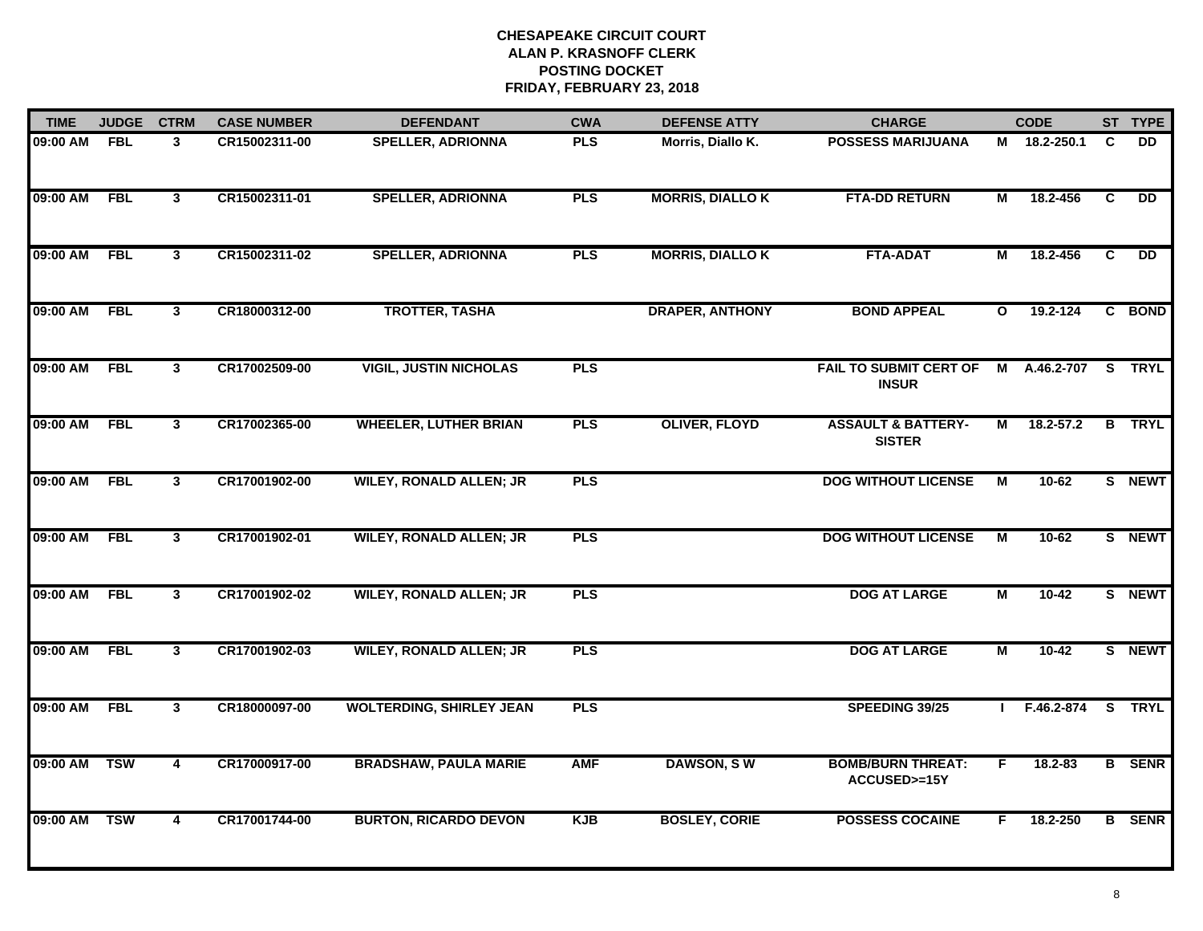| <b>TIME</b> | <b>JUDGE</b> | <b>CTRM</b>             | <b>CASE NUMBER</b> | <b>DEFENDANT</b>                | <b>CWA</b> | <b>DEFENSE ATTY</b>     | <b>CHARGE</b>                                  |                | <b>CODE</b>    |   | ST TYPE       |
|-------------|--------------|-------------------------|--------------------|---------------------------------|------------|-------------------------|------------------------------------------------|----------------|----------------|---|---------------|
| 09:00 AM    | <b>FBL</b>   | 3                       | CR15002311-00      | <b>SPELLER, ADRIONNA</b>        | <b>PLS</b> | Morris, Diallo K.       | <b>POSSESS MARIJUANA</b>                       |                | M 18.2-250.1   | C | DD.           |
| 09:00 AM    | <b>FBL</b>   | $\mathbf{3}$            | CR15002311-01      | <b>SPELLER, ADRIONNA</b>        | <b>PLS</b> | <b>MORRIS, DIALLO K</b> | <b>FTA-DD RETURN</b>                           | М              | 18.2-456       | C | <b>DD</b>     |
| 09:00 AM    | <b>FBL</b>   | 3                       | CR15002311-02      | <b>SPELLER, ADRIONNA</b>        | <b>PLS</b> | <b>MORRIS, DIALLO K</b> | <b>FTA-ADAT</b>                                | М              | 18.2-456       | C | DD            |
| 09:00 AM    | <b>FBL</b>   | 3                       | CR18000312-00      | <b>TROTTER, TASHA</b>           |            | <b>DRAPER, ANTHONY</b>  | <b>BOND APPEAL</b>                             | $\mathbf{o}$   | 19.2-124       |   | C BOND        |
| 09:00 AM    | <b>FBL</b>   | $\mathbf{3}$            | CR17002509-00      | <b>VIGIL, JUSTIN NICHOLAS</b>   | <b>PLS</b> |                         | <b>FAIL TO SUBMIT CERT OF</b><br><b>INSUR</b>  | M              | A.46.2-707     |   | S TRYL        |
| 09:00 AM    | <b>FBL</b>   | 3                       | CR17002365-00      | <b>WHEELER, LUTHER BRIAN</b>    | <b>PLS</b> | <b>OLIVER, FLOYD</b>    | <b>ASSAULT &amp; BATTERY-</b><br><b>SISTER</b> | М              | $18.2 - 57.2$  |   | <b>B</b> TRYL |
| 09:00 AM    | <b>FBL</b>   | 3                       | CR17001902-00      | <b>WILEY, RONALD ALLEN; JR</b>  | <b>PLS</b> |                         | <b>DOG WITHOUT LICENSE</b>                     | M              | $10-62$        |   | S NEWT        |
| 09:00 AM    | <b>FBL</b>   | 3                       | CR17001902-01      | <b>WILEY, RONALD ALLEN; JR</b>  | <b>PLS</b> |                         | <b>DOG WITHOUT LICENSE</b>                     | $\overline{M}$ | $10-62$        |   | S NEWT        |
| 09:00 AM    | <b>FBL</b>   | 3                       | CR17001902-02      | <b>WILEY, RONALD ALLEN; JR</b>  | <b>PLS</b> |                         | <b>DOG AT LARGE</b>                            | М              | 10-42          |   | S NEWT        |
| 09:00 AM    | <b>FBL</b>   | $\mathbf{3}$            | CR17001902-03      | <b>WILEY, RONALD ALLEN; JR</b>  | <b>PLS</b> |                         | <b>DOG AT LARGE</b>                            | $\overline{M}$ | $10 - 42$      |   | S NEWT        |
| 09:00 AM    | <b>FBL</b>   | 3                       | CR18000097-00      | <b>WOLTERDING, SHIRLEY JEAN</b> | <b>PLS</b> |                         | SPEEDING 39/25                                 |                | $I$ F.46.2-874 |   | S TRYL        |
| 09:00 AM    | <b>TSW</b>   | $\overline{\mathbf{4}}$ | CR17000917-00      | <b>BRADSHAW, PAULA MARIE</b>    | <b>AMF</b> | DAWSON, SW              | <b>BOMB/BURN THREAT:</b><br>ACCUSED>=15Y       | F.             | 18.2-83        |   | <b>B</b> SENR |
| 09:00 AM    | <b>TSW</b>   | $\overline{4}$          | CR17001744-00      | <b>BURTON, RICARDO DEVON</b>    | <b>KJB</b> | <b>BOSLEY, CORIE</b>    | <b>POSSESS COCAINE</b>                         | F.             | 18.2-250       |   | <b>B</b> SENR |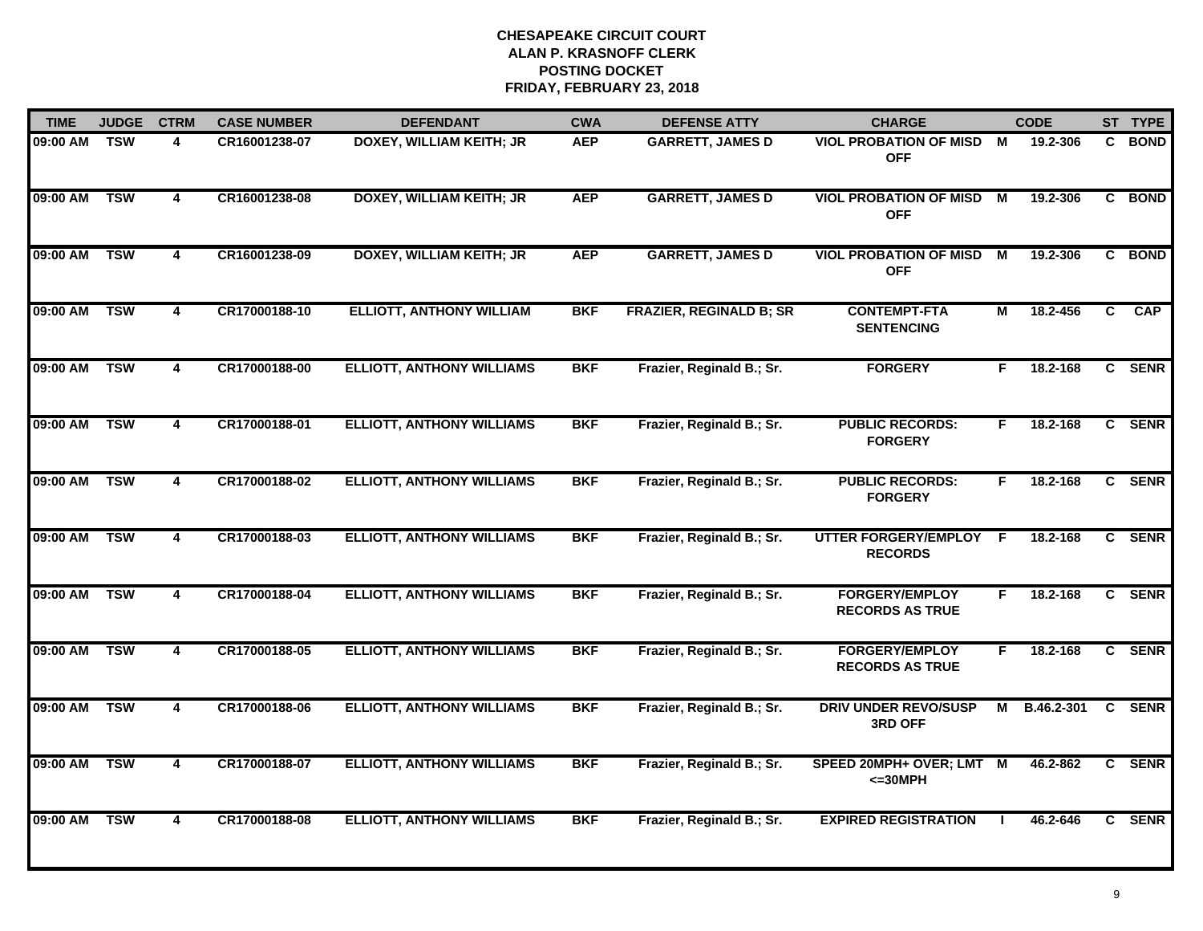| <b>TIME</b>  | <b>JUDGE</b> | <b>CTRM</b>             | <b>CASE NUMBER</b> | <b>DEFENDANT</b>                 | <b>CWA</b> | <b>DEFENSE ATTY</b>            | <b>CHARGE</b>                                   |    | <b>CODE</b> |    | ST TYPE    |
|--------------|--------------|-------------------------|--------------------|----------------------------------|------------|--------------------------------|-------------------------------------------------|----|-------------|----|------------|
| 09:00 AM     | <b>TSW</b>   | 4                       | CR16001238-07      | <b>DOXEY, WILLIAM KEITH; JR</b>  | <b>AEP</b> | <b>GARRETT, JAMES D</b>        | <b>VIOL PROBATION OF MISD M</b><br><b>OFF</b>   |    | 19.2-306    |    | C BOND     |
| 09:00 AM     | <b>TSW</b>   | $\overline{\mathbf{4}}$ | CR16001238-08      | <b>DOXEY, WILLIAM KEITH; JR</b>  | <b>AEP</b> | <b>GARRETT, JAMES D</b>        | <b>VIOL PROBATION OF MISD</b><br><b>OFF</b>     | M  | 19.2-306    |    | C BOND     |
| 09:00 AM     | <b>TSW</b>   | $\overline{\mathbf{4}}$ | CR16001238-09      | <b>DOXEY, WILLIAM KEITH; JR</b>  | <b>AEP</b> | <b>GARRETT, JAMES D</b>        | <b>VIOL PROBATION OF MISD</b><br><b>OFF</b>     | M  | 19.2-306    |    | C BOND     |
| 09:00 AM     | <b>TSW</b>   | 4                       | CR17000188-10      | <b>ELLIOTT, ANTHONY WILLIAM</b>  | <b>BKF</b> | <b>FRAZIER, REGINALD B; SR</b> | <b>CONTEMPT-FTA</b><br><b>SENTENCING</b>        | М  | 18.2-456    | C. | <b>CAP</b> |
| 09:00 AM     | <b>TSW</b>   | 4                       | CR17000188-00      | <b>ELLIOTT, ANTHONY WILLIAMS</b> | <b>BKF</b> | Frazier, Reginald B.; Sr.      | <b>FORGERY</b>                                  | F. | 18.2-168    |    | C SENR     |
| 09:00 AM TSW |              | 4                       | CR17000188-01      | <b>ELLIOTT, ANTHONY WILLIAMS</b> | <b>BKF</b> | Frazier, Reginald B.; Sr.      | <b>PUBLIC RECORDS:</b><br><b>FORGERY</b>        | F. | 18.2-168    |    | C SENR     |
| 09:00 AM     | <b>TSW</b>   | 4                       | CR17000188-02      | <b>ELLIOTT, ANTHONY WILLIAMS</b> | <b>BKF</b> | Frazier, Reginald B.; Sr.      | <b>PUBLIC RECORDS:</b><br><b>FORGERY</b>        | F  | 18.2-168    |    | C SENR     |
| 09:00 AM     | <b>TSW</b>   | $\overline{\mathbf{4}}$ | CR17000188-03      | <b>ELLIOTT, ANTHONY WILLIAMS</b> | <b>BKF</b> | Frazier, Reginald B.; Sr.      | <b>UTTER FORGERY/EMPLOY</b><br><b>RECORDS</b>   | E  | 18.2-168    |    | C SENR     |
| 09:00 AM     | <b>TSW</b>   | 4                       | CR17000188-04      | <b>ELLIOTT, ANTHONY WILLIAMS</b> | <b>BKF</b> | Frazier, Reginald B.; Sr.      | <b>FORGERY/EMPLOY</b><br><b>RECORDS AS TRUE</b> | F. | 18.2-168    |    | C SENR     |
| 09:00 AM     | <b>TSW</b>   | 4                       | CR17000188-05      | <b>ELLIOTT, ANTHONY WILLIAMS</b> | <b>BKF</b> | Frazier, Reginald B.; Sr.      | <b>FORGERY/EMPLOY</b><br><b>RECORDS AS TRUE</b> | F. | 18.2-168    |    | C SENR     |
| 09:00 AM     | <b>TSW</b>   | 4                       | CR17000188-06      | <b>ELLIOTT, ANTHONY WILLIAMS</b> | <b>BKF</b> | Frazier, Reginald B.; Sr.      | <b>DRIV UNDER REVO/SUSP</b><br>3RD OFF          | м  | B.46.2-301  |    | C SENR     |
| 09:00 AM     | <b>TSW</b>   | 4                       | CR17000188-07      | <b>ELLIOTT, ANTHONY WILLIAMS</b> | <b>BKF</b> | Frazier, Reginald B.; Sr.      | SPEED 20MPH+ OVER; LMT M<br>$<=30MPH$           |    | 46.2-862    |    | C SENR     |
| 09:00 AM     | <b>TSW</b>   | $\overline{\mathbf{4}}$ | CR17000188-08      | <b>ELLIOTT, ANTHONY WILLIAMS</b> | <b>BKF</b> | Frazier, Reginald B.; Sr.      | <b>EXPIRED REGISTRATION</b>                     |    | 46.2-646    |    | C SENR     |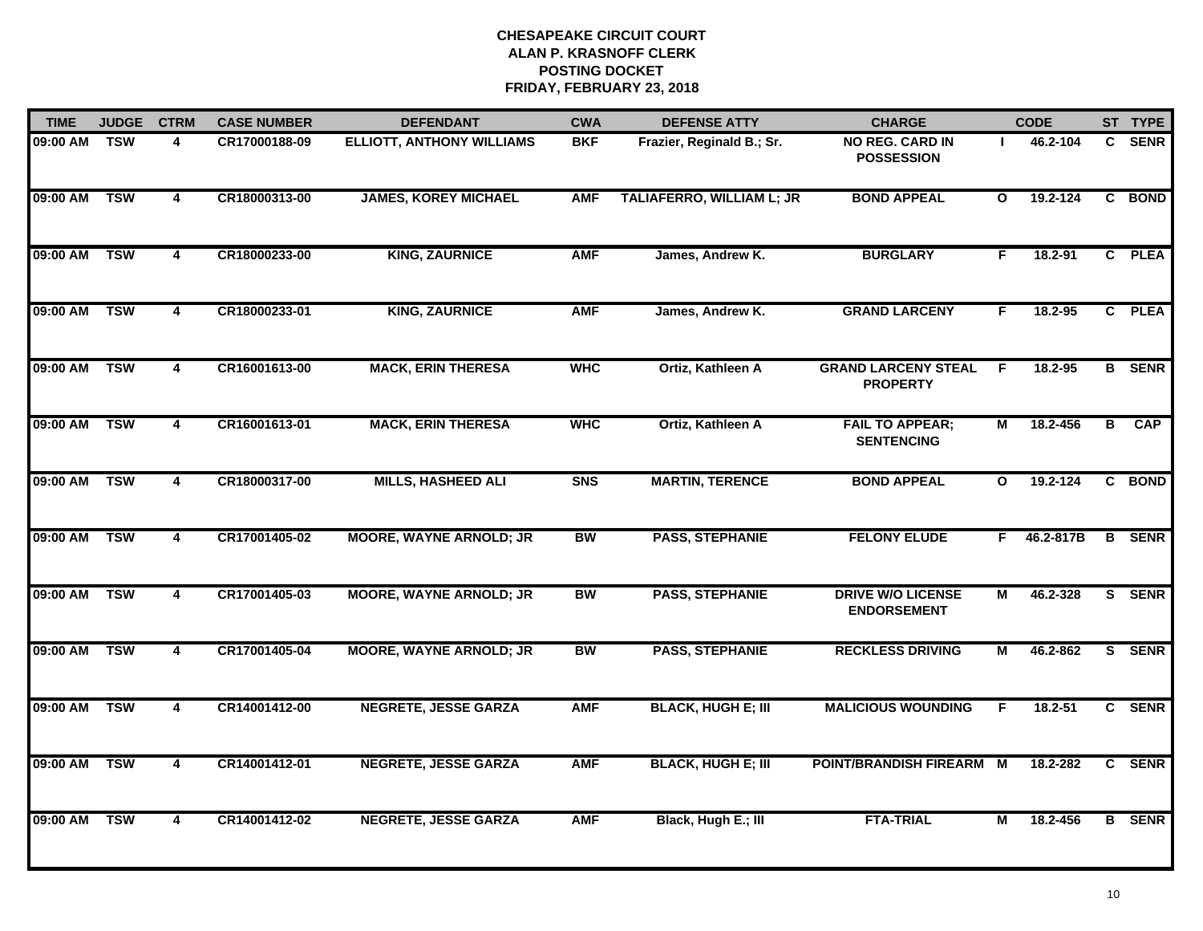| <b>TIME</b> | <b>JUDGE</b> | <b>CTRM</b>             | <b>CASE NUMBER</b> | <b>DEFENDANT</b>                 | <b>CWA</b> | <b>DEFENSE ATTY</b>              | <b>CHARGE</b>                                  |              | <b>CODE</b> |    | ST TYPE       |
|-------------|--------------|-------------------------|--------------------|----------------------------------|------------|----------------------------------|------------------------------------------------|--------------|-------------|----|---------------|
| 09:00 AM    | <b>TSW</b>   | 4                       | CR17000188-09      | <b>ELLIOTT, ANTHONY WILLIAMS</b> | <b>BKF</b> | Frazier, Reginald B.; Sr.        | <b>NO REG. CARD IN</b><br><b>POSSESSION</b>    |              | 46.2-104    |    | C SENR        |
| 09:00 AM    | <b>TSW</b>   | $\overline{4}$          | CR18000313-00      | <b>JAMES, KOREY MICHAEL</b>      | <b>AMF</b> | <b>TALIAFERRO, WILLIAM L; JR</b> | <b>BOND APPEAL</b>                             | $\mathbf{o}$ | 19.2-124    |    | C BOND        |
| 09:00 AM    | <b>TSW</b>   | $\overline{\mathbf{4}}$ | CR18000233-00      | <b>KING, ZAURNICE</b>            | <b>AMF</b> | James, Andrew K.                 | <b>BURGLARY</b>                                | F.           | 18.2-91     |    | C PLEA        |
| 09:00 AM    | <b>TSW</b>   | 4                       | CR18000233-01      | <b>KING, ZAURNICE</b>            | <b>AMF</b> | James, Andrew K.                 | <b>GRAND LARCENY</b>                           | F.           | 18.2-95     |    | C PLEA        |
| 09:00 AM    | <b>TSW</b>   | 4                       | CR16001613-00      | <b>MACK, ERIN THERESA</b>        | <b>WHC</b> | Ortiz, Kathleen A                | <b>GRAND LARCENY STEAL</b><br><b>PROPERTY</b>  | E            | 18.2-95     |    | <b>B</b> SENR |
| 09:00 AM    | <b>TSW</b>   | 4                       | CR16001613-01      | <b>MACK, ERIN THERESA</b>        | <b>WHC</b> | Ortiz, Kathleen A                | <b>FAIL TO APPEAR;</b><br><b>SENTENCING</b>    | М            | 18.2-456    | В  | <b>CAP</b>    |
| 09:00 AM    | <b>TSW</b>   | $\overline{\mathbf{4}}$ | CR18000317-00      | <b>MILLS, HASHEED ALI</b>        | <b>SNS</b> | <b>MARTIN, TERENCE</b>           | <b>BOND APPEAL</b>                             | $\mathbf{o}$ | 19.2-124    | C. | <b>BOND</b>   |
| 09:00 AM    | <b>TSW</b>   | 4                       | CR17001405-02      | <b>MOORE, WAYNE ARNOLD; JR</b>   | <b>BW</b>  | <b>PASS, STEPHANIE</b>           | <b>FELONY ELUDE</b>                            | F            | 46.2-817B   |    | <b>B</b> SENR |
| 09:00 AM    | <b>TSW</b>   | 4                       | CR17001405-03      | <b>MOORE, WAYNE ARNOLD; JR</b>   | <b>BW</b>  | <b>PASS, STEPHANIE</b>           | <b>DRIVE W/O LICENSE</b><br><b>ENDORSEMENT</b> | М            | 46.2-328    |    | S SENR        |
| 09:00 AM    | <b>TSW</b>   | 4                       | CR17001405-04      | <b>MOORE, WAYNE ARNOLD; JR</b>   | <b>BW</b>  | <b>PASS, STEPHANIE</b>           | <b>RECKLESS DRIVING</b>                        | M            | 46.2-862    |    | S SENR        |
| 09:00 AM    | <b>TSW</b>   | 4                       | CR14001412-00      | <b>NEGRETE, JESSE GARZA</b>      | <b>AMF</b> | <b>BLACK, HUGH E; III</b>        | <b>MALICIOUS WOUNDING</b>                      | F            | 18.2-51     |    | C SENR        |
| 09:00 AM    | <b>TSW</b>   | 4                       | CR14001412-01      | <b>NEGRETE, JESSE GARZA</b>      | <b>AMF</b> | <b>BLACK, HUGH E; III</b>        | POINT/BRANDISH FIREARM M                       |              | 18.2-282    |    | C SENR        |
| 09:00 AM    | <b>TSW</b>   | $\overline{4}$          | CR14001412-02      | <b>NEGRETE, JESSE GARZA</b>      | <b>AMF</b> | Black, Hugh E.; III              | <b>FTA-TRIAL</b>                               | М            | 18.2-456    |    | <b>B</b> SENR |
|             |              |                         |                    |                                  |            |                                  |                                                |              |             |    |               |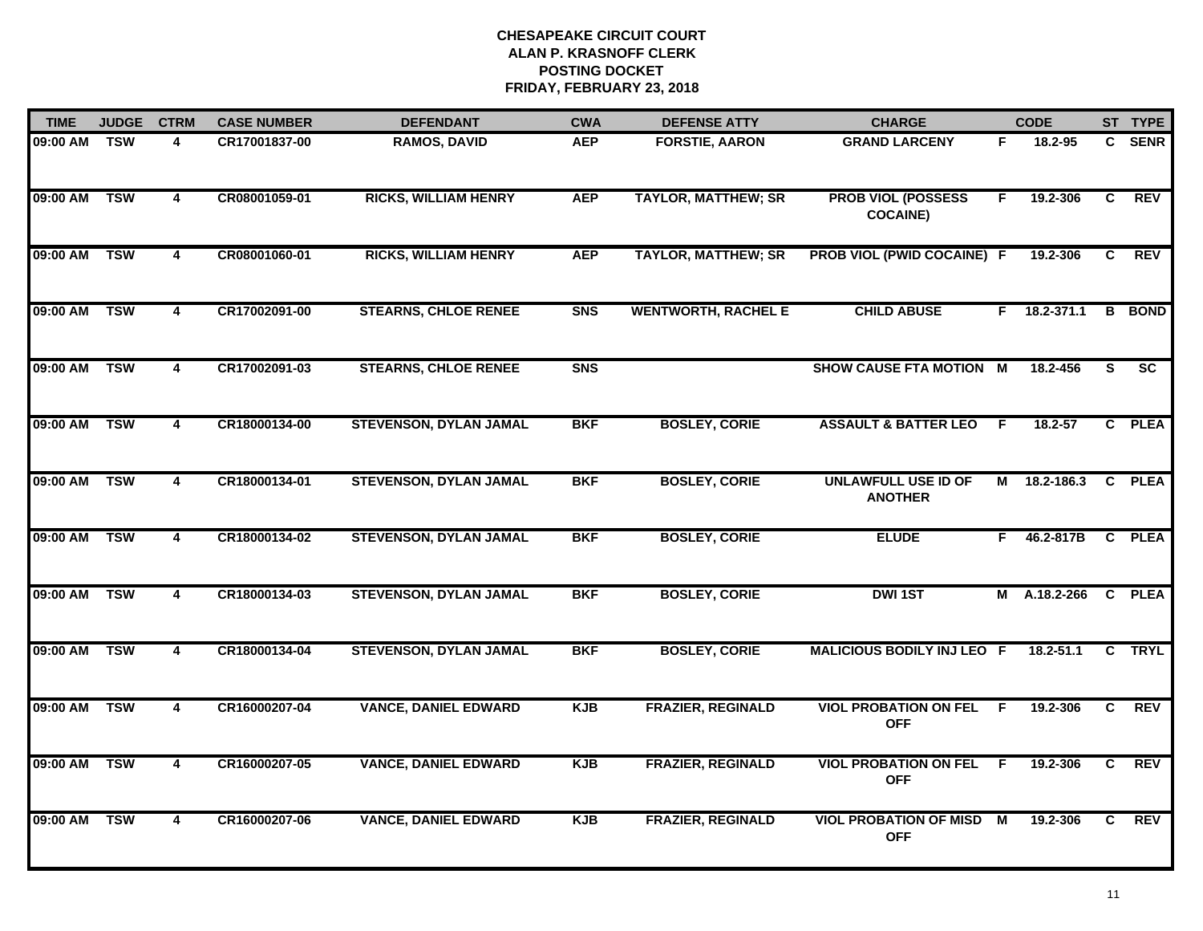| <b>TIME</b> | <b>JUDGE</b> | <b>CTRM</b>             | <b>CASE NUMBER</b> | <b>DEFENDANT</b>              | <b>CWA</b>     | <b>DEFENSE ATTY</b>        | <b>CHARGE</b>                                 |                | <b>CODE</b>    |                | ST TYPE       |
|-------------|--------------|-------------------------|--------------------|-------------------------------|----------------|----------------------------|-----------------------------------------------|----------------|----------------|----------------|---------------|
| 09:00 AM    | <b>TSW</b>   | 4                       | CR17001837-00      | <b>RAMOS, DAVID</b>           | <b>AEP</b>     | <b>FORSTIE, AARON</b>      | <b>GRAND LARCENY</b>                          | F.             | 18.2-95        |                | C SENR        |
| 09:00 AM    | <b>TSW</b>   | $\overline{4}$          | CR08001059-01      | <b>RICKS, WILLIAM HENRY</b>   | <b>AEP</b>     | <b>TAYLOR, MATTHEW; SR</b> | <b>PROB VIOL (POSSESS</b><br><b>COCAINE)</b>  | F.             | 19.2-306       | C              | <b>REV</b>    |
| 09:00 AM    | <b>TSW</b>   | $\overline{4}$          | CR08001060-01      | <b>RICKS, WILLIAM HENRY</b>   | <b>AEP</b>     | <b>TAYLOR, MATTHEW; SR</b> | PROB VIOL (PWID COCAINE) F                    |                | 19.2-306       | C              | <b>REV</b>    |
| 09:00 AM    | <b>TSW</b>   | 4                       | CR17002091-00      | <b>STEARNS, CHLOE RENEE</b>   | S <sub>N</sub> | <b>WENTWORTH, RACHEL E</b> | <b>CHILD ABUSE</b>                            | F.             | $18.2 - 371.1$ |                | <b>B</b> BOND |
| 09:00 AM    | <b>TSW</b>   | 4                       | CR17002091-03      | <b>STEARNS, CHLOE RENEE</b>   | <b>SNS</b>     |                            | <b>SHOW CAUSE FTA MOTION M</b>                |                | 18.2-456       | S              | <b>SC</b>     |
| 09:00 AM    | <b>TSW</b>   | 4                       | CR18000134-00      | <b>STEVENSON, DYLAN JAMAL</b> | <b>BKF</b>     | <b>BOSLEY, CORIE</b>       | <b>ASSAULT &amp; BATTER LEO</b>               | -F             | 18.2-57        |                | C PLEA        |
| 09:00 AM    | <b>TSW</b>   | $\overline{\mathbf{4}}$ | CR18000134-01      | <b>STEVENSON, DYLAN JAMAL</b> | <b>BKF</b>     | <b>BOSLEY, CORIE</b>       | <b>UNLAWFULL USE ID OF</b><br><b>ANOTHER</b>  | $\overline{M}$ | 18.2-186.3     | C              | <b>PLEA</b>   |
| 09:00 AM    | <b>TSW</b>   | 4                       | CR18000134-02      | <b>STEVENSON, DYLAN JAMAL</b> | <b>BKF</b>     | <b>BOSLEY, CORIE</b>       | <b>ELUDE</b>                                  | F.             | 46.2-817B      |                | C PLEA        |
| 09:00 AM    | <b>TSW</b>   | 4                       | CR18000134-03      | <b>STEVENSON, DYLAN JAMAL</b> | <b>BKF</b>     | <b>BOSLEY, CORIE</b>       | <b>DWI1ST</b>                                 | М              | A.18.2-266     |                | C PLEA        |
| 09:00 AM    | <b>TSW</b>   | $\overline{\mathbf{4}}$ | CR18000134-04      | <b>STEVENSON, DYLAN JAMAL</b> | <b>BKF</b>     | <b>BOSLEY, CORIE</b>       | MALICIOUS BODILY INJ LEO F                    |                | 18.2-51.1      |                | C TRYL        |
| 09:00 AM    | <b>TSW</b>   | 4                       | CR16000207-04      | <b>VANCE, DANIEL EDWARD</b>   | <b>KJB</b>     | <b>FRAZIER, REGINALD</b>   | <b>VIOL PROBATION ON FEL</b><br><b>OFF</b>    | -F.            | 19.2-306       | C.             | <b>REV</b>    |
| 09:00 AM    | <b>TSW</b>   | $\overline{4}$          | CR16000207-05      | <b>VANCE, DANIEL EDWARD</b>   | <b>KJB</b>     | <b>FRAZIER, REGINALD</b>   | <b>VIOL PROBATION ON FEL</b><br><b>OFF</b>    | E              | 19.2-306       | $\overline{c}$ | <b>REV</b>    |
| 09:00 AM    | <b>TSW</b>   | 4                       | CR16000207-06      | <b>VANCE, DANIEL EDWARD</b>   | <b>KJB</b>     | <b>FRAZIER, REGINALD</b>   | <b>VIOL PROBATION OF MISD M</b><br><b>OFF</b> |                | 19.2-306       | C.             | REV           |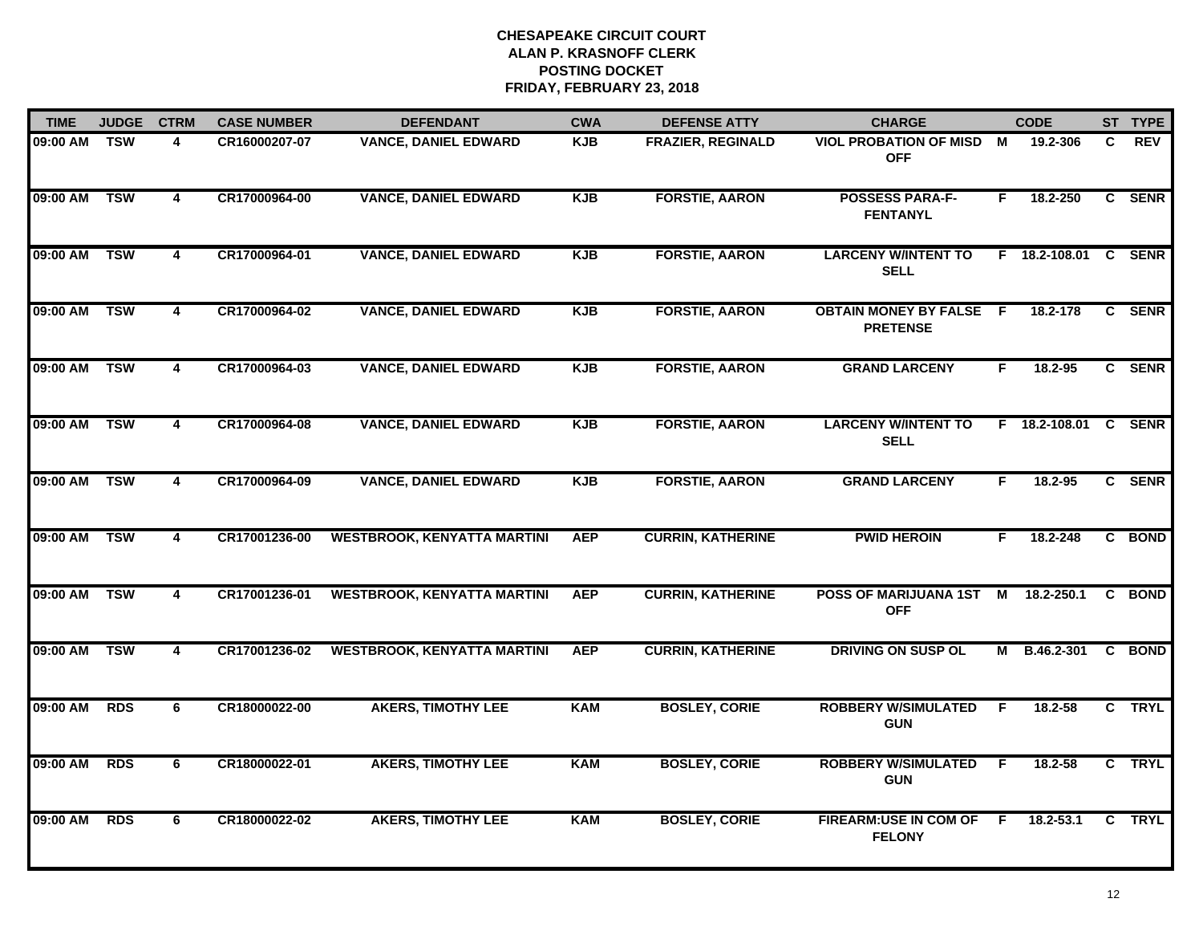| <b>TIME</b> | <b>JUDGE</b> | <b>CTRM</b>             | <b>CASE NUMBER</b> | <b>DEFENDANT</b>                   | <b>CWA</b> | <b>DEFENSE ATTY</b>      | <b>CHARGE</b>                                     |                | <b>CODE</b>          |    | ST TYPE    |
|-------------|--------------|-------------------------|--------------------|------------------------------------|------------|--------------------------|---------------------------------------------------|----------------|----------------------|----|------------|
| 09:00 AM    | <b>TSW</b>   | 4                       | CR16000207-07      | <b>VANCE, DANIEL EDWARD</b>        | <b>KJB</b> | <b>FRAZIER, REGINALD</b> | VIOL PROBATION OF MISD M<br><b>OFF</b>            |                | 19.2-306             | C. | <b>REV</b> |
| 09:00 AM    | <b>TSW</b>   | $\overline{\mathbf{4}}$ | CR17000964-00      | <b>VANCE, DANIEL EDWARD</b>        | <b>KJB</b> | <b>FORSTIE, AARON</b>    | <b>POSSESS PARA-F-</b><br><b>FENTANYL</b>         | F.             | 18.2-250             |    | C SENR     |
| 09:00 AM    | <b>TSW</b>   | $\overline{\mathbf{4}}$ | CR17000964-01      | <b>VANCE, DANIEL EDWARD</b>        | <b>KJB</b> | <b>FORSTIE, AARON</b>    | <b>LARCENY W/INTENT TO</b><br><b>SELL</b>         |                | F 18.2-108.01        |    | C SENR     |
| 09:00 AM    | <b>TSW</b>   | 4                       | CR17000964-02      | <b>VANCE, DANIEL EDWARD</b>        | <b>KJB</b> | <b>FORSTIE, AARON</b>    | <b>OBTAIN MONEY BY FALSE F</b><br><b>PRETENSE</b> |                | 18.2-178             |    | C SENR     |
| 09:00 AM    | <b>TSW</b>   | 4                       | CR17000964-03      | <b>VANCE, DANIEL EDWARD</b>        | KJB        | <b>FORSTIE, AARON</b>    | <b>GRAND LARCENY</b>                              | F.             | 18.2-95              |    | C SENR     |
| 09:00 AM    | <b>TSW</b>   | 4                       | CR17000964-08      | <b>VANCE, DANIEL EDWARD</b>        | <b>KJB</b> | <b>FORSTIE, AARON</b>    | <b>LARCENY W/INTENT TO</b><br><b>SELL</b>         |                | F 18.2-108.01 C SENR |    |            |
| 09:00 AM    | <b>TSW</b>   | $\overline{\mathbf{4}}$ | CR17000964-09      | <b>VANCE, DANIEL EDWARD</b>        | <b>KJB</b> | <b>FORSTIE, AARON</b>    | <b>GRAND LARCENY</b>                              | F.             | 18.2-95              |    | C SENR     |
| 09:00 AM    | <b>TSW</b>   | 4                       | CR17001236-00      | <b>WESTBROOK, KENYATTA MARTINI</b> | <b>AEP</b> | <b>CURRIN, KATHERINE</b> | <b>PWID HEROIN</b>                                | F              | 18.2-248             |    | C BOND     |
| 09:00 AM    | <b>TSW</b>   | 4                       | CR17001236-01      | <b>WESTBROOK, KENYATTA MARTINI</b> | <b>AEP</b> | <b>CURRIN, KATHERINE</b> | POSS OF MARIJUANA 1ST<br><b>OFF</b>               | M              | 18.2-250.1           |    | C BOND     |
| 09:00 AM    | <b>TSW</b>   | 4                       | CR17001236-02      | <b>WESTBROOK, KENYATTA MARTINI</b> | <b>AEP</b> | <b>CURRIN, KATHERINE</b> | <b>DRIVING ON SUSP OL</b>                         | М              | B.46.2-301           |    | C BOND     |
| 09:00 AM    | <b>RDS</b>   | 6                       | CR18000022-00      | <b>AKERS, TIMOTHY LEE</b>          | <b>KAM</b> | <b>BOSLEY, CORIE</b>     | <b>ROBBERY W/SIMULATED</b><br><b>GUN</b>          | -F             | 18.2-58              |    | C TRYL     |
| 09:00 AM    | <b>RDS</b>   | 6                       | CR18000022-01      | <b>AKERS, TIMOTHY LEE</b>          | <b>KAM</b> | <b>BOSLEY, CORIE</b>     | <b>ROBBERY W/SIMULATED</b><br><b>GUN</b>          | $\overline{F}$ | 18.2-58              |    | C TRYL     |
| 09:00 AM    | <b>RDS</b>   | 6                       | CR18000022-02      | <b>AKERS, TIMOTHY LEE</b>          | <b>KAM</b> | <b>BOSLEY, CORIE</b>     | FIREARM:USE IN COM OF F<br><b>FELONY</b>          |                | $18.2 - 53.1$        |    | C TRYL     |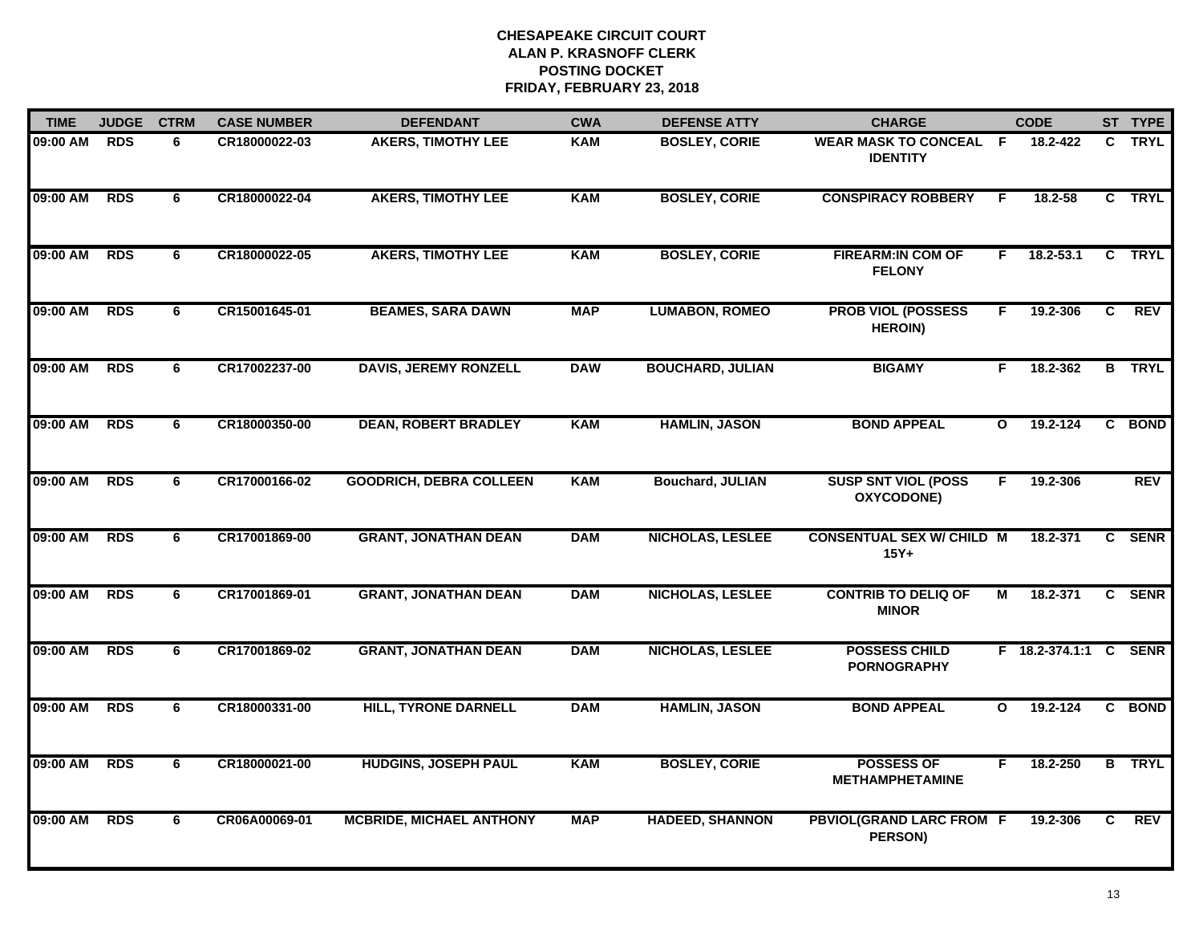| <b>TIME</b> | <b>JUDGE</b> | <b>CTRM</b>    | <b>CASE NUMBER</b> | <b>DEFENDANT</b>                | <b>CWA</b> | <b>DEFENSE ATTY</b>     | <b>CHARGE</b>                                     |                | <b>CODE</b>           |    | ST TYPE       |
|-------------|--------------|----------------|--------------------|---------------------------------|------------|-------------------------|---------------------------------------------------|----------------|-----------------------|----|---------------|
| 09:00 AM    | <b>RDS</b>   | 6              | CR18000022-03      | <b>AKERS, TIMOTHY LEE</b>       | <b>KAM</b> | <b>BOSLEY, CORIE</b>    | <b>WEAR MASK TO CONCEAL F</b><br><b>IDENTITY</b>  |                | 18.2-422              |    | C TRYL        |
| 09:00 AM    | <b>RDS</b>   | 6              | CR18000022-04      | <b>AKERS, TIMOTHY LEE</b>       | <b>KAM</b> | <b>BOSLEY, CORIE</b>    | <b>CONSPIRACY ROBBERY</b>                         | F.             | 18.2-58               |    | C TRYL        |
| 09:00 AM    | <b>RDS</b>   | 6              | CR18000022-05      | <b>AKERS, TIMOTHY LEE</b>       | <b>KAM</b> | <b>BOSLEY, CORIE</b>    | <b>FIREARM:IN COM OF</b><br><b>FELONY</b>         | F.             | 18.2-53.1             |    | C TRYL        |
| 09:00 AM    | <b>RDS</b>   | 6              | CR15001645-01      | <b>BEAMES, SARA DAWN</b>        | <b>MAP</b> | <b>LUMABON, ROMEO</b>   | <b>PROB VIOL (POSSESS</b><br><b>HEROIN)</b>       | F              | 19.2-306              | C. | <b>REV</b>    |
| 09:00 AM    | <b>RDS</b>   | 6              | CR17002237-00      | <b>DAVIS, JEREMY RONZELL</b>    | <b>DAW</b> | <b>BOUCHARD, JULIAN</b> | <b>BIGAMY</b>                                     | F.             | 18.2-362              |    | <b>B</b> TRYL |
| 09:00 AM    | <b>RDS</b>   | 6              | CR18000350-00      | <b>DEAN, ROBERT BRADLEY</b>     | <b>KAM</b> | <b>HAMLIN, JASON</b>    | <b>BOND APPEAL</b>                                | $\mathbf{o}$   | 19.2-124              |    | C BOND        |
| 09:00 AM    | <b>RDS</b>   | 6              | CR17000166-02      | <b>GOODRICH, DEBRA COLLEEN</b>  | <b>KAM</b> | <b>Bouchard, JULIAN</b> | <b>SUSP SNT VIOL (POSS</b><br>OXYCODONE)          | $\overline{F}$ | 19.2-306              |    | <b>REV</b>    |
| 09:00 AM    | <b>RDS</b>   | 6              | CR17001869-00      | <b>GRANT, JONATHAN DEAN</b>     | <b>DAM</b> | <b>NICHOLAS, LESLEE</b> | <b>CONSENTUAL SEX W/ CHILD M</b><br>$15Y+$        |                | 18.2-371              |    | C SENR        |
| 09:00 AM    | <b>RDS</b>   | 6              | CR17001869-01      | <b>GRANT, JONATHAN DEAN</b>     | <b>DAM</b> | <b>NICHOLAS, LESLEE</b> | <b>CONTRIB TO DELIQ OF</b><br><b>MINOR</b>        | М              | 18.2-371              |    | C SENR        |
| 09:00 AM    | <b>RDS</b>   | 6              | CR17001869-02      | <b>GRANT, JONATHAN DEAN</b>     | <b>DAM</b> | NICHOLAS, LESLEE        | <b>POSSESS CHILD</b><br><b>PORNOGRAPHY</b>        |                | F 18.2-374.1:1 C SENR |    |               |
| 09:00 AM    | <b>RDS</b>   | 6              | CR18000331-00      | <b>HILL, TYRONE DARNELL</b>     | <b>DAM</b> | <b>HAMLIN, JASON</b>    | <b>BOND APPEAL</b>                                | $\mathbf{o}$   | 19.2-124              |    | C BOND        |
| 09:00 AM    | <b>RDS</b>   | $\overline{6}$ | CR18000021-00      | <b>HUDGINS, JOSEPH PAUL</b>     | <b>KAM</b> | <b>BOSLEY, CORIE</b>    | <b>POSSESS OF</b><br><b>METHAMPHETAMINE</b>       | F.             | 18.2-250              |    | <b>B</b> TRYL |
| 09:00 AM    | <b>RDS</b>   | 6              | CR06A00069-01      | <b>MCBRIDE, MICHAEL ANTHONY</b> | <b>MAP</b> | <b>HADEED, SHANNON</b>  | <b>PBVIOL(GRAND LARC FROM F</b><br><b>PERSON)</b> |                | 19.2-306              | C. | <b>REV</b>    |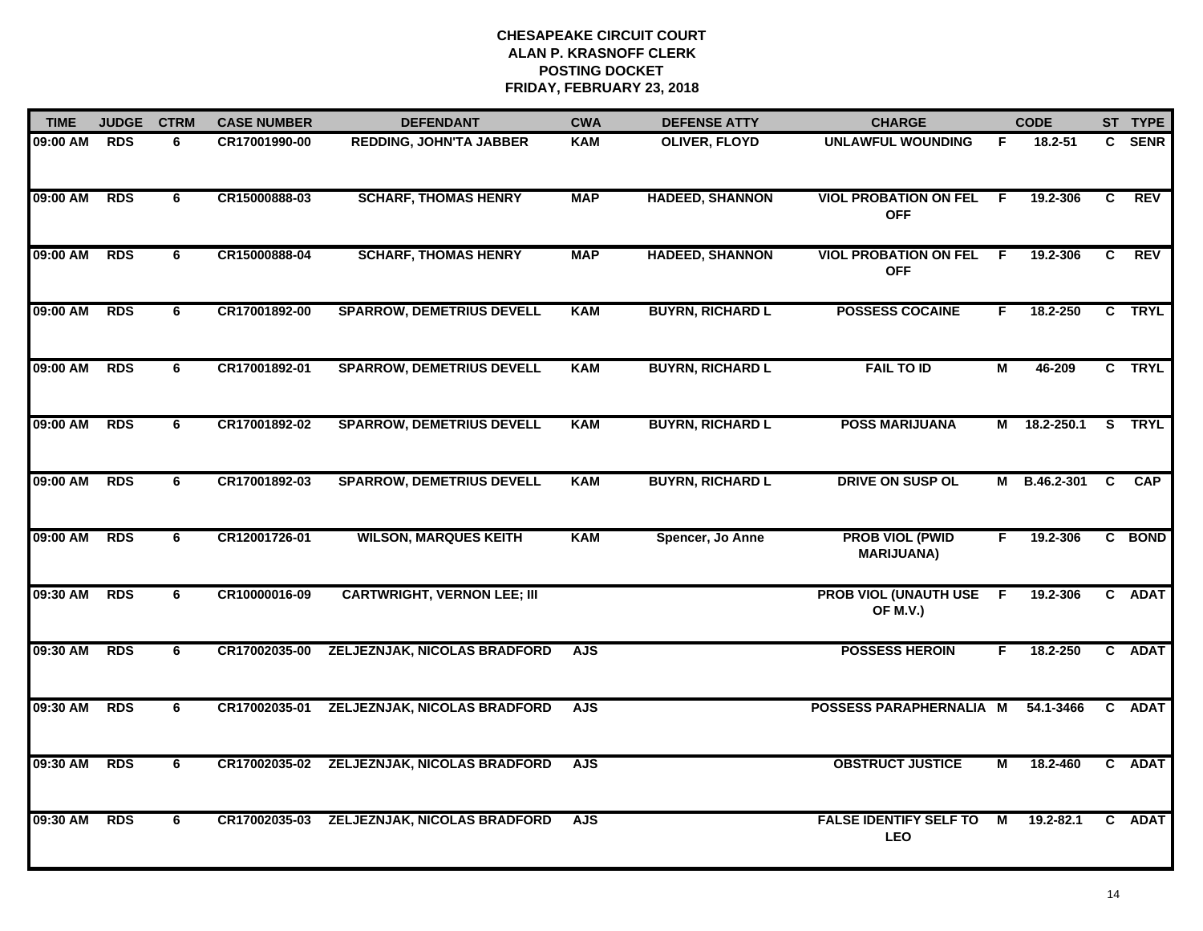| <b>TIME</b> | <b>JUDGE</b> | <b>CTRM</b> | <b>CASE NUMBER</b> | <b>DEFENDANT</b>                   | <b>CWA</b> | <b>DEFENSE ATTY</b>     | <b>CHARGE</b>                               | <b>CODE</b>    |              |                | ST TYPE    |
|-------------|--------------|-------------|--------------------|------------------------------------|------------|-------------------------|---------------------------------------------|----------------|--------------|----------------|------------|
| 09:00 AM    | <b>RDS</b>   | 6           | CR17001990-00      | <b>REDDING, JOHN'TA JABBER</b>     | <b>KAM</b> | <b>OLIVER, FLOYD</b>    | <b>UNLAWFUL WOUNDING</b>                    | F.             | 18.2-51      |                | C SENR     |
| 09:00 AM    | <b>RDS</b>   | 6           | CR15000888-03      | <b>SCHARF, THOMAS HENRY</b>        | <b>MAP</b> | <b>HADEED, SHANNON</b>  | <b>VIOL PROBATION ON FEL</b><br><b>OFF</b>  | F.             | 19.2-306     | C              | <b>REV</b> |
| 09:00 AM    | <b>RDS</b>   | 6           | CR15000888-04      | <b>SCHARF, THOMAS HENRY</b>        | <b>MAP</b> | <b>HADEED, SHANNON</b>  | <b>VIOL PROBATION ON FEL</b><br><b>OFF</b>  | $\overline{F}$ | 19.2-306     | $\overline{c}$ | <b>REV</b> |
| 09:00 AM    | <b>RDS</b>   | 6           | CR17001892-00      | <b>SPARROW, DEMETRIUS DEVELL</b>   | <b>KAM</b> | <b>BUYRN, RICHARD L</b> | <b>POSSESS COCAINE</b>                      | F.             | 18.2-250     |                | C TRYL     |
| 09:00 AM    | <b>RDS</b>   | 6           | CR17001892-01      | <b>SPARROW, DEMETRIUS DEVELL</b>   | <b>KAM</b> | <b>BUYRN, RICHARD L</b> | <b>FAIL TO ID</b>                           | М              | 46-209       |                | C TRYL     |
| 09:00 AM    | <b>RDS</b>   | 6           | CR17001892-02      | <b>SPARROW, DEMETRIUS DEVELL</b>   | <b>KAM</b> | <b>BUYRN, RICHARD L</b> | <b>POSS MARIJUANA</b>                       |                | M 18.2-250.1 |                | S TRYL     |
| 09:00 AM    | <b>RDS</b>   | 6           | CR17001892-03      | <b>SPARROW, DEMETRIUS DEVELL</b>   | <b>KAM</b> | <b>BUYRN, RICHARD L</b> | DRIVE ON SUSP OL                            | М              | B.46.2-301   | $\mathbf{c}$   | <b>CAP</b> |
| 09:00 AM    | <b>RDS</b>   | 6           | CR12001726-01      | <b>WILSON, MARQUES KEITH</b>       | <b>KAM</b> | Spencer, Jo Anne        | <b>PROB VIOL (PWID</b><br><b>MARIJUANA)</b> | F.             | 19.2-306     |                | C BOND     |
| 09:30 AM    | <b>RDS</b>   | 6           | CR10000016-09      | <b>CARTWRIGHT, VERNON LEE; III</b> |            |                         | <b>PROB VIOL (UNAUTH USE</b><br>OF M.V.)    | F              | 19.2-306     |                | C ADAT     |
| 09:30 AM    | <b>RDS</b>   | 6           | CR17002035-00      | ZELJEZNJAK, NICOLAS BRADFORD       | <b>AJS</b> |                         | <b>POSSESS HEROIN</b>                       | F.             | 18.2-250     |                | C ADAT     |
| 09:30 AM    | <b>RDS</b>   | 6           | CR17002035-01      | ZELJEZNJAK, NICOLAS BRADFORD       | <b>AJS</b> |                         | POSSESS PARAPHERNALIA M                     |                | 54.1-3466    |                | C ADAT     |
| 09:30 AM    | <b>RDS</b>   | 6           | CR17002035-02      | ZELJEZNJAK, NICOLAS BRADFORD       | <b>AJS</b> |                         | <b>OBSTRUCT JUSTICE</b>                     | $\overline{M}$ | 18.2-460     |                | C ADAT     |
| 09:30 AM    | <b>RDS</b>   | 6           | CR17002035-03      | ZELJEZNJAK, NICOLAS BRADFORD       | <b>AJS</b> |                         | <b>FALSE IDENTIFY SELF TO</b><br>LEO        | $\overline{M}$ | 19.2-82.1    |                | C ADAT     |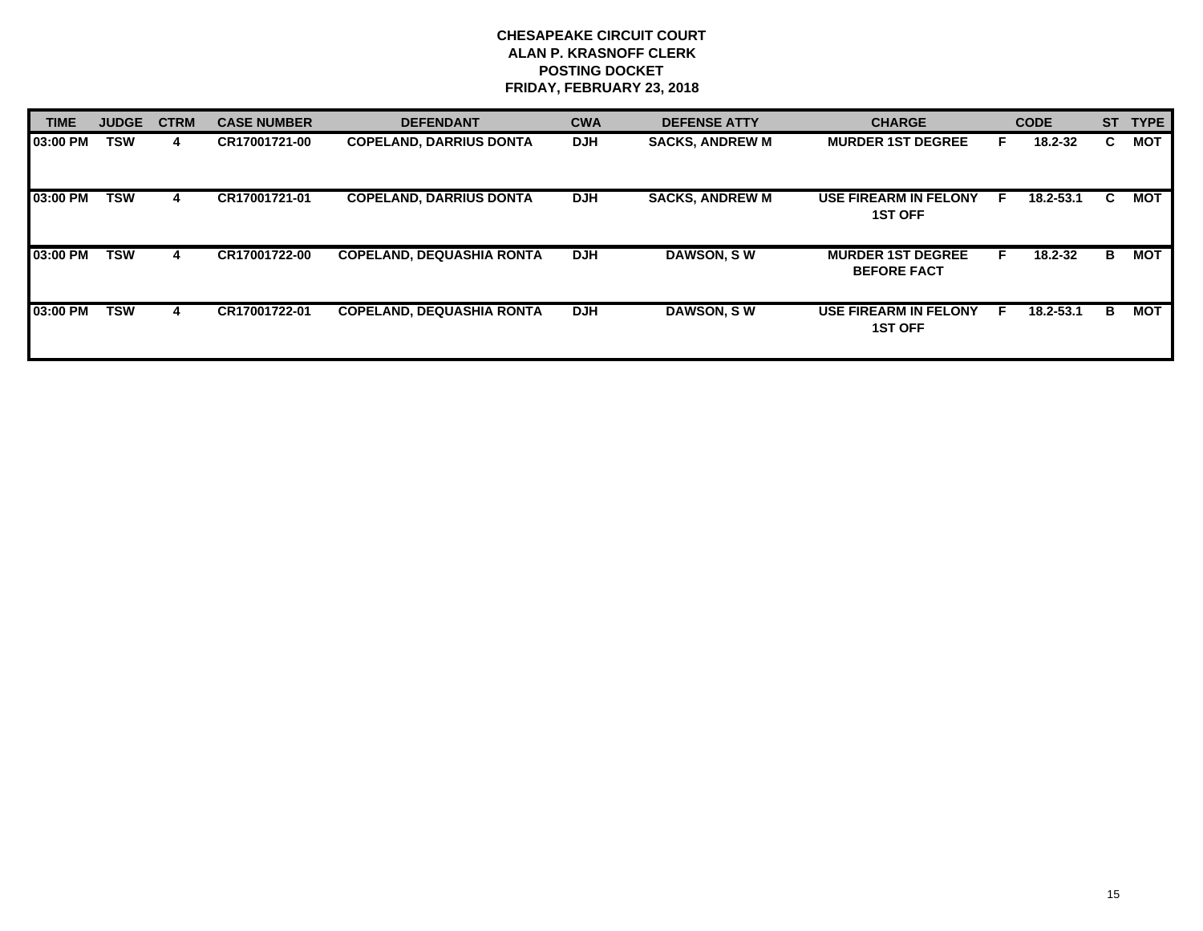| <b>TIME</b> | <b>JUDGE</b> | <b>CTRM</b> | <b>CASE NUMBER</b> | <b>DEFENDANT</b>                 | <b>CWA</b> | <b>DEFENSE ATTY</b>    | <b>CHARGE</b>                                  |    | <b>CODE</b> | <b>ST</b> | <b>TYPE</b> |
|-------------|--------------|-------------|--------------------|----------------------------------|------------|------------------------|------------------------------------------------|----|-------------|-----------|-------------|
| 03:00 PM    | TSW          | 4           | CR17001721-00      | <b>COPELAND, DARRIUS DONTA</b>   | <b>DJH</b> | <b>SACKS, ANDREW M</b> | <b>MURDER 1ST DEGREE</b>                       | F. | 18.2-32     | C.        | <b>MOT</b>  |
| 03:00 PM    | <b>TSW</b>   | 4           | CR17001721-01      | <b>COPELAND, DARRIUS DONTA</b>   | <b>DJH</b> | <b>SACKS, ANDREW M</b> | <b>USE FIREARM IN FELONY</b><br><b>1ST OFF</b> | F  | 18.2-53.1   | C.        | <b>MOT</b>  |
| 03:00 PM    | TSW          | 4           | CR17001722-00      | <b>COPELAND, DEQUASHIA RONTA</b> | <b>DJH</b> | DAWSON, SW             | <b>MURDER 1ST DEGREE</b><br><b>BEFORE FACT</b> |    | 18.2-32     | B         | MOT         |
| 03:00 PM    | TSW          | 4           | CR17001722-01      | <b>COPELAND, DEQUASHIA RONTA</b> | <b>DJH</b> | <b>DAWSON, SW</b>      | <b>USE FIREARM IN FELONY</b><br><b>1ST OFF</b> | E  | 18.2-53.1   | В         | MOT         |